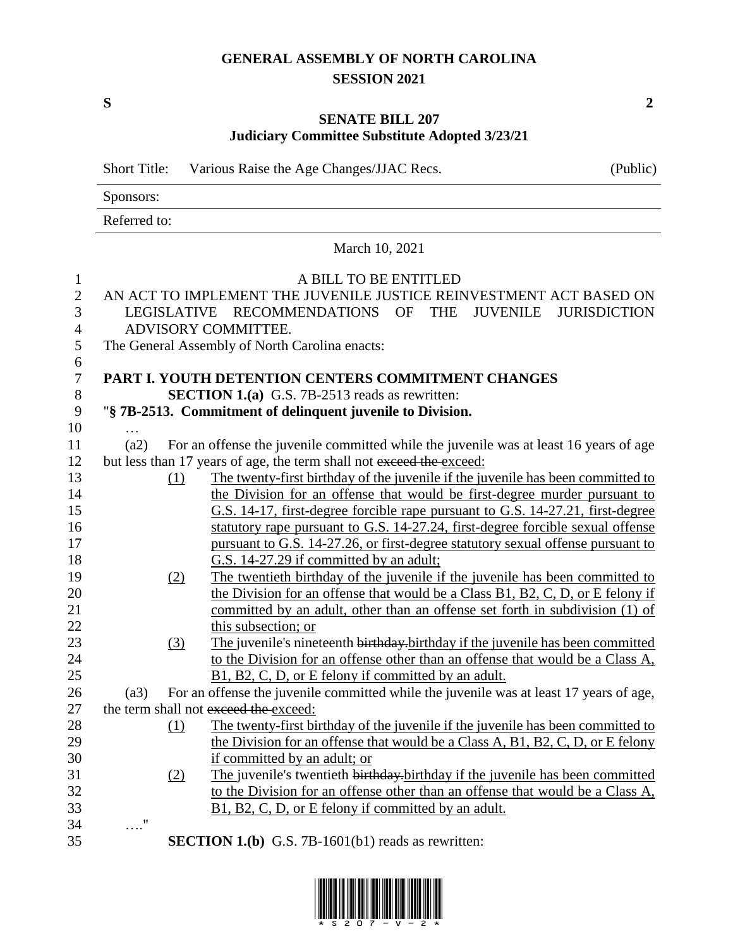## **GENERAL ASSEMBLY OF NORTH CAROLINA SESSION 2021**

**S 2**

## **SENATE BILL 207 Judiciary Committee Substitute Adopted 3/23/21**

Short Title: Various Raise the Age Changes/JJAC Recs. (Public)

Sponsors:

Referred to:

# March 10, 2021 1 A BILL TO BE ENTITLED 2 AN ACT TO IMPLEMENT THE JUVENILE JUSTICE REINVESTMENT ACT BASED ON 3 LEGISLATIVE RECOMMENDATIONS OF THE JUVENILE JURISDICTION 4 ADVISORY COMMITTEE. 5 The General Assembly of North Carolina enacts: 6 7 **PART I. YOUTH DETENTION CENTERS COMMITMENT CHANGES** 8 **SECTION 1.(a)** G.S. 7B-2513 reads as rewritten: 9 "**§ 7B-2513. Commitment of delinquent juvenile to Division.** 10 … 11 (a2) For an offense the juvenile committed while the juvenile was at least 16 years of age 12 but less than 17 years of age, the term shall not exceed the exceed: 13 (1) The twenty-first birthday of the juvenile if the juvenile has been committed to 14 the Division for an offense that would be first-degree murder pursuant to 15 G.S. 14-17, first-degree forcible rape pursuant to G.S. 14-27.21, first-degree 16 statutory rape pursuant to G.S. 14-27.24, first-degree forcible sexual offense pursuant to G.S. 14-27.26, or first-degree statutory sexual offense pursuant to 18 G.S. 14-27.29 if committed by an adult; 19 (2) The twentieth birthday of the juvenile if the juvenile has been committed to 20 the Division for an offense that would be a Class B1, B2, C, D, or E felony if 21 committed by an adult, other than an offense set forth in subdivision (1) of 22 this subsection; or 23 (3) The juvenile's nineteenth birthday.birthday if the juvenile has been committed 24 to the Division for an offense other than an offense that would be a Class A, 25 B1, B2, C, D, or E felony if committed by an adult. 26 (a3) For an offense the juvenile committed while the juvenile was at least 17 years of age, 27 the term shall not exceed the exceed: 28 (1) The twenty-first birthday of the juvenile if the juvenile has been committed to 29 the Division for an offense that would be a Class A, B1, B2, C, D, or E felony 30 if committed by an adult; or 31 (2) The juvenile's twentieth birthday.birthday if the juvenile has been committed 32 to the Division for an offense other than an offense that would be a Class A, 33 B1, B2, C, D, or E felony if committed by an adult. 34 …."

35 **SECTION 1.(b)** G.S. 7B-1601(b1) reads as rewritten:

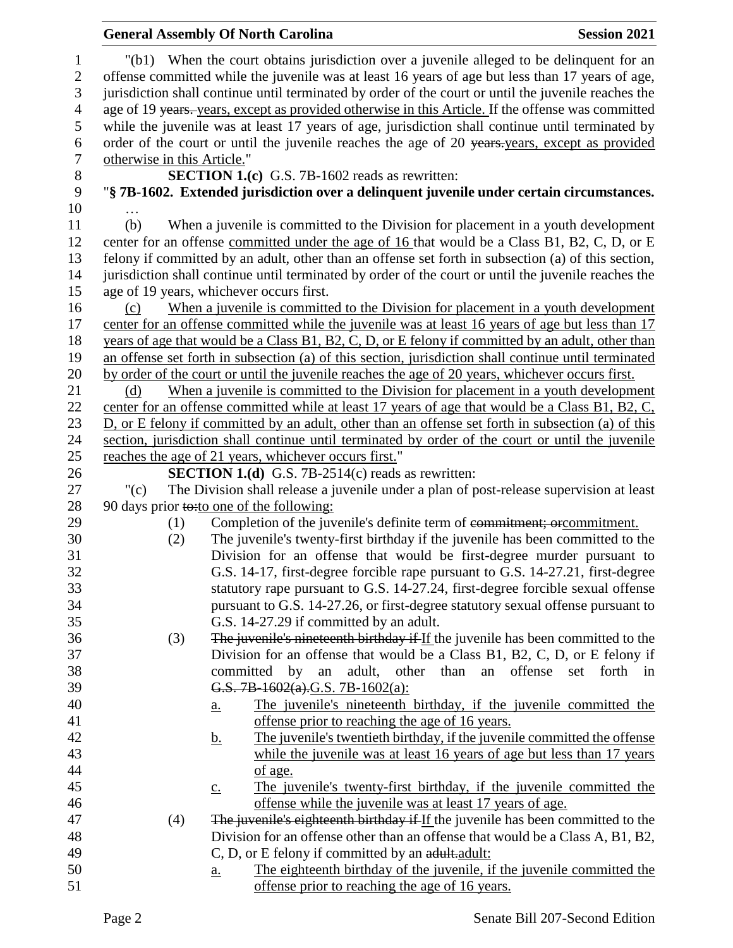|                                |                             | <b>General Assembly Of North Carolina</b>                                                                                                                                                     | <b>Session 2021</b> |
|--------------------------------|-----------------------------|-----------------------------------------------------------------------------------------------------------------------------------------------------------------------------------------------|---------------------|
| $\mathbf{1}$<br>$\overline{c}$ |                             | "(b1) When the court obtains jurisdiction over a juvenile alleged to be delinquent for an<br>offense committed while the juvenile was at least 16 years of age but less than 17 years of age, |                     |
| $\mathfrak{Z}$                 |                             | jurisdiction shall continue until terminated by order of the court or until the juvenile reaches the                                                                                          |                     |
| $\overline{4}$<br>5            |                             | age of 19 years. years, except as provided otherwise in this Article. If the offense was committed                                                                                            |                     |
| 6                              |                             | while the juvenile was at least 17 years of age, jurisdiction shall continue until terminated by                                                                                              |                     |
| $\boldsymbol{7}$               | otherwise in this Article." | order of the court or until the juvenile reaches the age of 20 years years, except as provided                                                                                                |                     |
| $8\,$                          |                             | SECTION 1.(c) G.S. 7B-1602 reads as rewritten:                                                                                                                                                |                     |
| 9                              |                             | "§ 7B-1602. Extended jurisdiction over a delinquent juvenile under certain circumstances.                                                                                                     |                     |
| 10                             |                             |                                                                                                                                                                                               |                     |
| 11                             | (b)                         | When a juvenile is committed to the Division for placement in a youth development                                                                                                             |                     |
| 12                             |                             | center for an offense committed under the age of 16 that would be a Class B1, B2, C, D, or E                                                                                                  |                     |
| 13                             |                             | felony if committed by an adult, other than an offense set forth in subsection (a) of this section,                                                                                           |                     |
| 14                             |                             | jurisdiction shall continue until terminated by order of the court or until the juvenile reaches the                                                                                          |                     |
| 15                             |                             | age of 19 years, whichever occurs first.                                                                                                                                                      |                     |
| 16                             | (c)                         | When a juvenile is committed to the Division for placement in a youth development                                                                                                             |                     |
| 17                             |                             | center for an offense committed while the juvenile was at least 16 years of age but less than 17                                                                                              |                     |
| 18                             |                             | years of age that would be a Class B1, B2, C, D, or E felony if committed by an adult, other than                                                                                             |                     |
| 19                             |                             | an offense set forth in subsection (a) of this section, jurisdiction shall continue until terminated                                                                                          |                     |
| 20                             |                             | by order of the court or until the juvenile reaches the age of 20 years, whichever occurs first.                                                                                              |                     |
| 21                             | (d)                         | When a juvenile is committed to the Division for placement in a youth development                                                                                                             |                     |
| 22                             |                             | center for an offense committed while at least 17 years of age that would be a Class B1, B2, C,                                                                                               |                     |
| 23                             |                             | D, or E felony if committed by an adult, other than an offense set forth in subsection (a) of this                                                                                            |                     |
| 24                             |                             | section, jurisdiction shall continue until terminated by order of the court or until the juvenile                                                                                             |                     |
| 25                             |                             | reaches the age of 21 years, whichever occurs first."                                                                                                                                         |                     |
| 26                             |                             | <b>SECTION 1.(d)</b> G.S. 7B-2514(c) reads as rewritten:                                                                                                                                      |                     |
| 27                             | "(c)                        | The Division shall release a juvenile under a plan of post-release supervision at least                                                                                                       |                     |
| 28                             |                             | 90 days prior to: to one of the following:                                                                                                                                                    |                     |
| 29                             | (1)                         | Completion of the juvenile's definite term of commitment; orcommitment.                                                                                                                       |                     |
| 30                             | (2)                         | The juvenile's twenty-first birthday if the juvenile has been committed to the                                                                                                                |                     |
| 31                             |                             | Division for an offense that would be first-degree murder pursuant to                                                                                                                         |                     |
| 32                             |                             | G.S. 14-17, first-degree forcible rape pursuant to G.S. 14-27.21, first-degree                                                                                                                |                     |
| 33                             |                             | statutory rape pursuant to G.S. 14-27.24, first-degree forcible sexual offense                                                                                                                |                     |
| 34                             |                             | pursuant to G.S. 14-27.26, or first-degree statutory sexual offense pursuant to                                                                                                               |                     |
| 35                             |                             | G.S. 14-27.29 if committed by an adult.                                                                                                                                                       |                     |
| 36<br>37                       | (3)                         | The juvenile's nineteenth birthday if If the juvenile has been committed to the<br>Division for an offense that would be a Class B1, B2, C, D, or E felony if                                 |                     |
| 38                             |                             | committed by<br>adult, other than<br>an<br>an<br>offense                                                                                                                                      | set forth in        |
| 39                             |                             | G.S. 7B-1602(a).G.S. 7B-1602(a):                                                                                                                                                              |                     |
| 40                             |                             | The juvenile's nineteenth birthday, if the juvenile committed the                                                                                                                             |                     |
| 41                             |                             | <u>a.</u><br>offense prior to reaching the age of 16 years.                                                                                                                                   |                     |
| 42                             |                             | The juvenile's twentieth birthday, if the juvenile committed the offense<br><u>b.</u>                                                                                                         |                     |
| 43                             |                             | while the juvenile was at least 16 years of age but less than 17 years                                                                                                                        |                     |
| 44                             |                             | of age.                                                                                                                                                                                       |                     |
| 45                             |                             | The juvenile's twenty-first birthday, if the juvenile committed the<br>$\underline{c}$ .                                                                                                      |                     |
| 46                             |                             | offense while the juvenile was at least 17 years of age.                                                                                                                                      |                     |
| 47                             | (4)                         | The juvenile's eighteenth birthday if If the juvenile has been committed to the                                                                                                               |                     |
| 48                             |                             | Division for an offense other than an offense that would be a Class A, B1, B2,                                                                                                                |                     |
| 49                             |                             | C, D, or E felony if committed by an adult.adult:                                                                                                                                             |                     |
| 50                             |                             | The eighteenth birthday of the juvenile, if the juvenile committed the<br>$\underline{a}$ .                                                                                                   |                     |
| 51                             |                             | offense prior to reaching the age of 16 years.                                                                                                                                                |                     |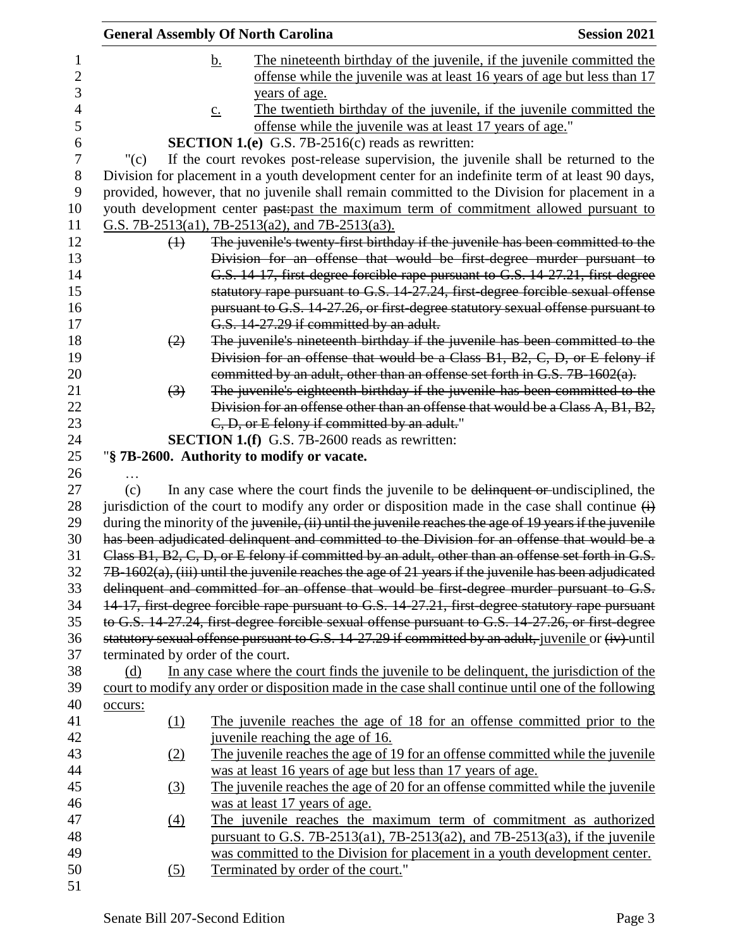|         |                   | <b>General Assembly Of North Carolina</b>                                                                         | <b>Session 2021</b> |
|---------|-------------------|-------------------------------------------------------------------------------------------------------------------|---------------------|
|         |                   | The nineteenth birthday of the juvenile, if the juvenile committed the<br><u>b.</u>                               |                     |
|         |                   | offense while the juvenile was at least 16 years of age but less than 17                                          |                     |
|         |                   | years of age.                                                                                                     |                     |
|         |                   | The twentieth birthday of the juvenile, if the juvenile committed the<br>$\underline{c}$ .                        |                     |
|         |                   | offense while the juvenile was at least 17 years of age."                                                         |                     |
|         |                   | <b>SECTION 1.(e)</b> G.S. 7B-2516(c) reads as rewritten:                                                          |                     |
|         | " $(c)$           | If the court revokes post-release supervision, the juvenile shall be returned to the                              |                     |
|         |                   | Division for placement in a youth development center for an indefinite term of at least 90 days,                  |                     |
|         |                   | provided, however, that no juvenile shall remain committed to the Division for placement in a                     |                     |
|         |                   | youth development center past-past the maximum term of commitment allowed pursuant to                             |                     |
|         |                   | G.S. 7B-2513(a1), 7B-2513(a2), and 7B-2513(a3).                                                                   |                     |
|         | $\leftrightarrow$ | The juvenile's twenty-first birthday if the juvenile has been committed to the                                    |                     |
|         |                   | Division for an offense that would be first-degree murder pursuant to                                             |                     |
|         |                   | G.S. 14-17, first-degree forcible rape pursuant to G.S. 14-27.21, first-degree                                    |                     |
|         |                   | statutory rape pursuant to G.S. 14-27.24, first-degree forcible sexual offense                                    |                     |
|         |                   | pursuant to G.S. 14-27.26, or first-degree statutory sexual offense pursuant to                                   |                     |
|         |                   | G.S. 14-27.29 if committed by an adult.                                                                           |                     |
|         | (2)               | The juvenile's nineteenth birthday if the juvenile has been committed to the                                      |                     |
|         |                   | Division for an offense that would be a Class B1, B2, C, D, or E felony if                                        |                     |
|         |                   | committed by an adult, other than an offense set forth in G.S. 7B-1602(a).                                        |                     |
|         | $\left(3\right)$  | The juvenile's eighteenth birthday if the juvenile has been committed to the                                      |                     |
|         |                   | Division for an offense other than an offense that would be a Class A, B1, B2,                                    |                     |
|         |                   | C, D, or E felony if committed by an adult."                                                                      |                     |
|         |                   | <b>SECTION 1.(f)</b> G.S. 7B-2600 reads as rewritten:                                                             |                     |
|         |                   | "§ 7B-2600. Authority to modify or vacate.                                                                        |                     |
|         |                   |                                                                                                                   |                     |
| (c)     |                   | In any case where the court finds the juvenile to be delinquent or undisciplined, the                             |                     |
|         |                   | jurisdiction of the court to modify any order or disposition made in the case shall continue $\overrightarrow{H}$ |                     |
|         |                   | during the minority of the juvenile, (ii) until the juvenile reaches the age of 19 years if the juvenile          |                     |
|         |                   | has been adjudicated delinquent and committed to the Division for an offense that would be a                      |                     |
|         |                   | Class B1, B2, C, D, or E felony if committed by an adult, other than an offense set forth in G.S.                 |                     |
|         |                   | 7B-1602(a), (iii) until the juvenile reaches the age of 21 years if the juvenile has been adjudicated             |                     |
|         |                   | delinquent and committed for an offense that would be first degree murder pursuant to G.S.                        |                     |
|         |                   | 14-17, first-degree forcible rape pursuant to G.S. 14-27.21, first-degree statutory rape pursuant                 |                     |
|         |                   | to G.S. 14-27.24, first-degree forcible sexual offense pursuant to G.S. 14-27.26, or first-degree                 |                     |
|         |                   | statutory sexual offense pursuant to G.S. 14-27.29 if committed by an adult, juvenile or (iv) until               |                     |
|         |                   | terminated by order of the court.                                                                                 |                     |
| (d)     |                   | In any case where the court finds the juvenile to be delinquent, the jurisdiction of the                          |                     |
|         |                   | court to modify any order or disposition made in the case shall continue until one of the following               |                     |
| occurs: |                   |                                                                                                                   |                     |
|         | $\Omega$          | The juvenile reaches the age of 18 for an offense committed prior to the                                          |                     |
|         |                   | juvenile reaching the age of 16.                                                                                  |                     |
|         | (2)               | The juvenile reaches the age of 19 for an offense committed while the juvenile                                    |                     |
|         |                   | was at least 16 years of age but less than 17 years of age.                                                       |                     |
|         | (3)               | The juvenile reaches the age of 20 for an offense committed while the juvenile                                    |                     |
|         |                   | was at least 17 years of age.                                                                                     |                     |
|         | $\underline{(4)}$ | The juvenile reaches the maximum term of commitment as authorized                                                 |                     |
|         |                   | pursuant to G.S. 7B-2513(a1), 7B-2513(a2), and 7B-2513(a3), if the juvenile                                       |                     |
|         |                   | was committed to the Division for placement in a youth development center.                                        |                     |
|         | (5)               | Terminated by order of the court."                                                                                |                     |
|         |                   |                                                                                                                   |                     |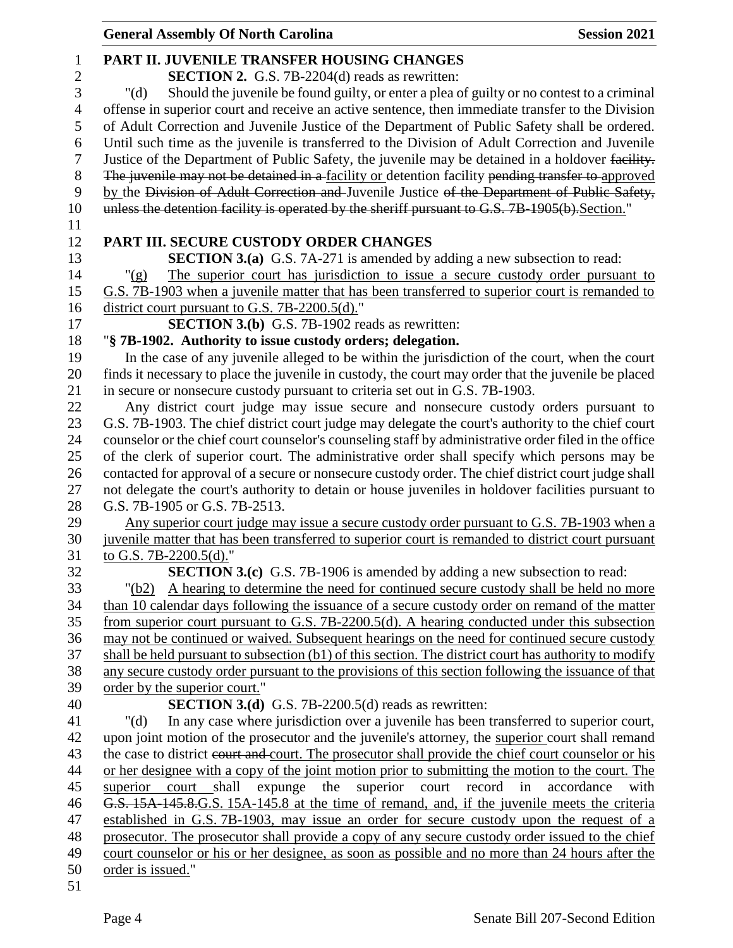| <b>General Assembly Of North Carolina</b>                                    | <b>Session 2021</b>                                                                                                                                   |
|------------------------------------------------------------------------------|-------------------------------------------------------------------------------------------------------------------------------------------------------|
| PART II. JUVENILE TRANSFER HOUSING CHANGES                                   |                                                                                                                                                       |
| <b>SECTION 2.</b> G.S. 7B-2204(d) reads as rewritten:                        |                                                                                                                                                       |
| " $(d)$                                                                      | Should the juvenile be found guilty, or enter a plea of guilty or no contest to a criminal                                                            |
|                                                                              | offense in superior court and receive an active sentence, then immediate transfer to the Division                                                     |
|                                                                              | of Adult Correction and Juvenile Justice of the Department of Public Safety shall be ordered.                                                         |
|                                                                              | Until such time as the juvenile is transferred to the Division of Adult Correction and Juvenile                                                       |
|                                                                              | Justice of the Department of Public Safety, the juvenile may be detained in a holdover facility.                                                      |
|                                                                              | The juvenile may not be detained in a facility or detention facility pending transfer to approved                                                     |
|                                                                              | by the Division of Adult Correction and Juvenile Justice of the Department of Public Safety,                                                          |
|                                                                              | unless the detention facility is operated by the sheriff pursuant to G.S. 7B-1905(b). Section."                                                       |
|                                                                              |                                                                                                                                                       |
| PART III. SECURE CUSTODY ORDER CHANGES                                       |                                                                                                                                                       |
|                                                                              | <b>SECTION 3.(a)</b> G.S. 7A-271 is amended by adding a new subsection to read:                                                                       |
| " $(g)$                                                                      | The superior court has jurisdiction to issue a secure custody order pursuant to                                                                       |
|                                                                              | G.S. 7B-1903 when a juvenile matter that has been transferred to superior court is remanded to                                                        |
| district court pursuant to G.S. 7B-2200.5(d)."                               |                                                                                                                                                       |
| <b>SECTION 3.(b)</b> G.S. 7B-1902 reads as rewritten:                        |                                                                                                                                                       |
| "§ 7B-1902. Authority to issue custody orders; delegation.                   |                                                                                                                                                       |
|                                                                              | In the case of any juvenile alleged to be within the jurisdiction of the court, when the court                                                        |
|                                                                              | finds it necessary to place the juvenile in custody, the court may order that the juvenile be placed                                                  |
| in secure or nonsecure custody pursuant to criteria set out in G.S. 7B-1903. |                                                                                                                                                       |
|                                                                              | Any district court judge may issue secure and nonsecure custody orders pursuant to                                                                    |
|                                                                              | G.S. 7B-1903. The chief district court judge may delegate the court's authority to the chief court                                                    |
|                                                                              | counselor or the chief court counselor's counseling staff by administrative order filed in the office                                                 |
|                                                                              | of the clerk of superior court. The administrative order shall specify which persons may be                                                           |
|                                                                              | contacted for approval of a secure or nonsecure custody order. The chief district court judge shall                                                   |
|                                                                              | not delegate the court's authority to detain or house juveniles in holdover facilities pursuant to                                                    |
| G.S. 7B-1905 or G.S. 7B-2513.                                                |                                                                                                                                                       |
|                                                                              | Any superior court judge may issue a secure custody order pursuant to G.S. 7B-1903 when a                                                             |
|                                                                              | juvenile matter that has been transferred to superior court is remanded to district court pursuant                                                    |
| to G.S. 7B-2200.5(d)."                                                       |                                                                                                                                                       |
|                                                                              | <b>SECTION 3.(c)</b> G.S. 7B-1906 is amended by adding a new subsection to read:                                                                      |
| "(b2)                                                                        | A hearing to determine the need for continued secure custody shall be held no more                                                                    |
|                                                                              | than 10 calendar days following the issuance of a secure custody order on remand of the matter                                                        |
|                                                                              | from superior court pursuant to G.S. 7B-2200.5(d). A hearing conducted under this subsection                                                          |
|                                                                              | may not be continued or waived. Subsequent hearings on the need for continued secure custody                                                          |
|                                                                              | shall be held pursuant to subsection (b1) of this section. The district court has authority to modify                                                 |
|                                                                              | any secure custody order pursuant to the provisions of this section following the issuance of that                                                    |
| order by the superior court."                                                |                                                                                                                                                       |
| <b>SECTION 3.(d)</b> G.S. 7B-2200.5(d) reads as rewritten:                   |                                                                                                                                                       |
| " $(d)$                                                                      | In any case where jurisdiction over a juvenile has been transferred to superior court,                                                                |
|                                                                              | upon joint motion of the prosecutor and the juvenile's attorney, the superior court shall remand                                                      |
|                                                                              | the case to district court and court. The prosecutor shall provide the chief court counselor or his                                                   |
| superior<br>court shall<br>expunge<br>the                                    | or her designee with a copy of the joint motion prior to submitting the motion to the court. The<br>superior court record<br>accordance<br>in<br>with |
|                                                                              | G.S. 15A-145.8. G.S. 15A-145.8 at the time of remand, and, if the juvenile meets the criteria                                                         |
|                                                                              | established in G.S. 7B-1903, may issue an order for secure custody upon the request of a                                                              |
|                                                                              | prosecutor. The prosecutor shall provide a copy of any secure custody order issued to the chief                                                       |
|                                                                              | court counselor or his or her designee, as soon as possible and no more than 24 hours after the                                                       |
| order is issued."                                                            |                                                                                                                                                       |
|                                                                              |                                                                                                                                                       |
|                                                                              |                                                                                                                                                       |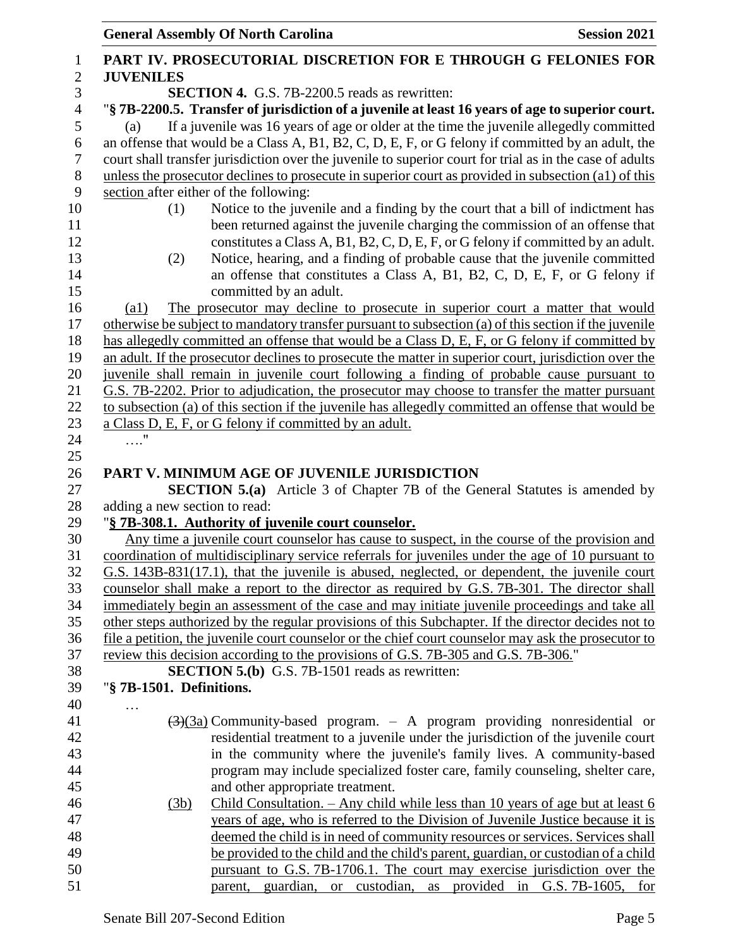|                  | <b>General Assembly Of North Carolina</b><br><b>Session 2021</b>                                                                                                                                             |
|------------------|--------------------------------------------------------------------------------------------------------------------------------------------------------------------------------------------------------------|
| $\mathbf{1}$     | PART IV. PROSECUTORIAL DISCRETION FOR E THROUGH G FELONIES FOR                                                                                                                                               |
| $\boldsymbol{2}$ | <b>JUVENILES</b>                                                                                                                                                                                             |
| 3                | <b>SECTION 4.</b> G.S. 7B-2200.5 reads as rewritten:                                                                                                                                                         |
| $\overline{4}$   | "§ 7B-2200.5. Transfer of jurisdiction of a juvenile at least 16 years of age to superior court.                                                                                                             |
| 5                | If a juvenile was 16 years of age or older at the time the juvenile allegedly committed<br>(a)                                                                                                               |
| 6                | an offense that would be a Class A, B1, B2, C, D, E, F, or G felony if committed by an adult, the                                                                                                            |
| 7                | court shall transfer jurisdiction over the juvenile to superior court for trial as in the case of adults                                                                                                     |
| 8                | unless the prosecutor declines to prosecute in superior court as provided in subsection (a1) of this                                                                                                         |
| 9                | section after either of the following:                                                                                                                                                                       |
| 10               | Notice to the juvenile and a finding by the court that a bill of indictment has<br>(1)                                                                                                                       |
| 11               | been returned against the juvenile charging the commission of an offense that                                                                                                                                |
| 12               | constitutes a Class A, B1, B2, C, D, E, F, or G felony if committed by an adult.                                                                                                                             |
| 13               | Notice, hearing, and a finding of probable cause that the juvenile committed<br>(2)                                                                                                                          |
| 14               | an offense that constitutes a Class A, B1, B2, C, D, E, F, or G felony if                                                                                                                                    |
| 15               | committed by an adult.                                                                                                                                                                                       |
| 16<br>17         | The prosecutor may decline to prosecute in superior court a matter that would<br>$\left( a1\right)$<br>otherwise be subject to mandatory transfer pursuant to subsection (a) of this section if the juvenile |
| 18               | has allegedly committed an offense that would be a Class D, E, F, or G felony if committed by                                                                                                                |
| 19               | an adult. If the prosecutor declines to prosecute the matter in superior court, jurisdiction over the                                                                                                        |
| 20               | juvenile shall remain in juvenile court following a finding of probable cause pursuant to                                                                                                                    |
| 21               | G.S. 7B-2202. Prior to adjudication, the prosecutor may choose to transfer the matter pursuant                                                                                                               |
| 22               | to subsection (a) of this section if the juvenile has allegedly committed an offense that would be                                                                                                           |
| 23               | a Class D, E, F, or G felony if committed by an adult.                                                                                                                                                       |
| 24               | $\cdots$                                                                                                                                                                                                     |
| 25               |                                                                                                                                                                                                              |
| 26               | PART V. MINIMUM AGE OF JUVENILE JURISDICTION                                                                                                                                                                 |
| 27               | <b>SECTION 5.(a)</b> Article 3 of Chapter 7B of the General Statutes is amended by                                                                                                                           |
| 28               | adding a new section to read:                                                                                                                                                                                |
| 29               | "§ 7B-308.1. Authority of juvenile court counselor.                                                                                                                                                          |
| 30               | Any time a juvenile court counselor has cause to suspect, in the course of the provision and                                                                                                                 |
| 31               | coordination of multidisciplinary service referrals for juveniles under the age of 10 pursuant to                                                                                                            |
| 32<br>33         | G.S. 143B-831(17.1), that the juvenile is abused, neglected, or dependent, the juvenile court<br>counselor shall make a report to the director as required by G.S. 7B-301. The director shall                |
| 34               | immediately begin an assessment of the case and may initiate juvenile proceedings and take all                                                                                                               |
| 35               | other steps authorized by the regular provisions of this Subchapter. If the director decides not to                                                                                                          |
| 36               | file a petition, the juvenile court counselor or the chief court counselor may ask the prosecutor to                                                                                                         |
| 37               | review this decision according to the provisions of G.S. 7B-305 and G.S. 7B-306."                                                                                                                            |
| 38               | <b>SECTION 5.(b)</b> G.S. 7B-1501 reads as rewritten:                                                                                                                                                        |
| 39               | "§ 7B-1501. Definitions.                                                                                                                                                                                     |
| 40               |                                                                                                                                                                                                              |
| 41               | $\left(\frac{3}{3a}\right)$ Community-based program. – A program providing nonresidential or                                                                                                                 |
| 42               | residential treatment to a juvenile under the jurisdiction of the juvenile court                                                                                                                             |
| 43               | in the community where the juvenile's family lives. A community-based                                                                                                                                        |
| 44               | program may include specialized foster care, family counseling, shelter care,                                                                                                                                |
| 45               | and other appropriate treatment.                                                                                                                                                                             |
| 46               | Child Consultation. $-$ Any child while less than 10 years of age but at least 6<br>(3b)                                                                                                                     |
| 47               | years of age, who is referred to the Division of Juvenile Justice because it is                                                                                                                              |
| 48               | deemed the child is in need of community resources or services. Services shall                                                                                                                               |
| 49<br>50         | be provided to the child and the child's parent, guardian, or custodian of a child<br>pursuant to G.S. 7B-1706.1. The court may exercise jurisdiction over the                                               |
| 51               | parent, guardian, or custodian, as provided in G.S. 7B-1605, for                                                                                                                                             |
|                  |                                                                                                                                                                                                              |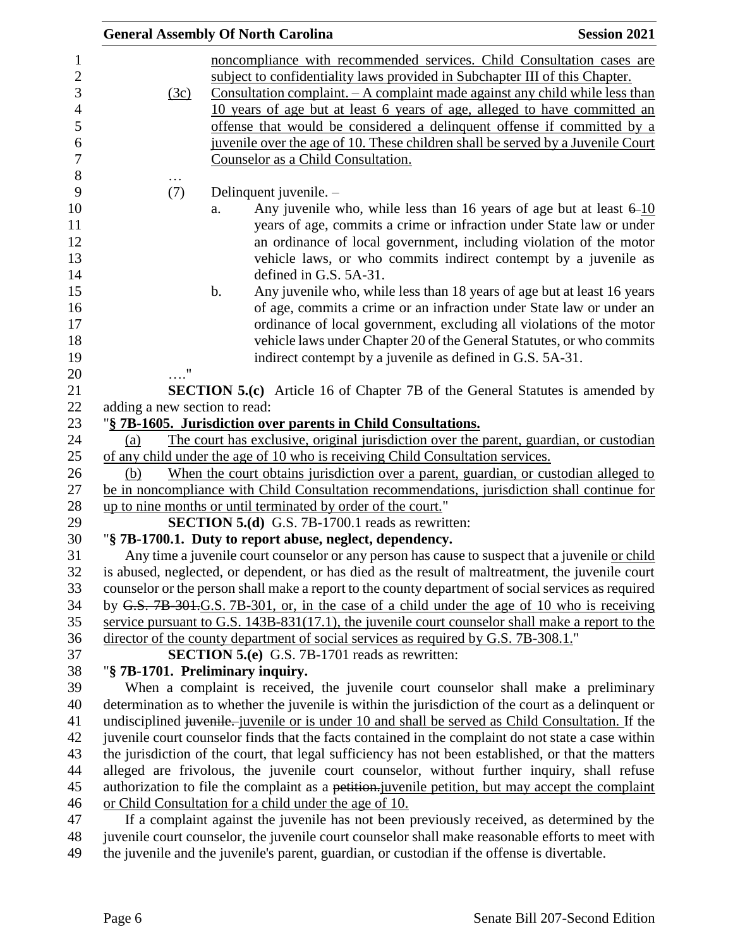|                               | <b>General Assembly Of North Carolina</b>                                                                                                                                                                                                                                                                                                                                                                                                                                                                                    | <b>Session 2021</b> |
|-------------------------------|------------------------------------------------------------------------------------------------------------------------------------------------------------------------------------------------------------------------------------------------------------------------------------------------------------------------------------------------------------------------------------------------------------------------------------------------------------------------------------------------------------------------------|---------------------|
| (3c)                          | noncompliance with recommended services. Child Consultation cases are<br>subject to confidentiality laws provided in Subchapter III of this Chapter.<br><u>Consultation complaint. – A complaint made against any child while less than</u><br>10 years of age but at least 6 years of age, alleged to have committed an<br>offense that would be considered a delinquent offense if committed by a<br>juvenile over the age of 10. These children shall be served by a Juvenile Court<br>Counselor as a Child Consultation. |                     |
| (7)                           | Delinquent juvenile. -                                                                                                                                                                                                                                                                                                                                                                                                                                                                                                       |                     |
|                               | Any juvenile who, while less than 16 years of age but at least $6-10$<br>a.<br>years of age, commits a crime or infraction under State law or under<br>an ordinance of local government, including violation of the motor<br>vehicle laws, or who commits indirect contempt by a juvenile as<br>defined in G.S. 5A-31.                                                                                                                                                                                                       |                     |
|                               | Any juvenile who, while less than 18 years of age but at least 16 years<br>$\mathbf b$ .<br>of age, commits a crime or an infraction under State law or under an<br>ordinance of local government, excluding all violations of the motor<br>vehicle laws under Chapter 20 of the General Statutes, or who commits<br>indirect contempt by a juvenile as defined in G.S. 5A-31.                                                                                                                                               |                     |
|                               |                                                                                                                                                                                                                                                                                                                                                                                                                                                                                                                              |                     |
|                               | <b>SECTION 5.(c)</b> Article 16 of Chapter 7B of the General Statutes is amended by                                                                                                                                                                                                                                                                                                                                                                                                                                          |                     |
| adding a new section to read: | "§ 7B-1605. Jurisdiction over parents in Child Consultations.                                                                                                                                                                                                                                                                                                                                                                                                                                                                |                     |
| (a)                           | The court has exclusive, original jurisdiction over the parent, guardian, or custodian                                                                                                                                                                                                                                                                                                                                                                                                                                       |                     |
|                               | of any child under the age of 10 who is receiving Child Consultation services.                                                                                                                                                                                                                                                                                                                                                                                                                                               |                     |
| (b)                           | When the court obtains jurisdiction over a parent, guardian, or custodian alleged to                                                                                                                                                                                                                                                                                                                                                                                                                                         |                     |
|                               | be in noncompliance with Child Consultation recommendations, jurisdiction shall continue for                                                                                                                                                                                                                                                                                                                                                                                                                                 |                     |
|                               | up to nine months or until terminated by order of the court."                                                                                                                                                                                                                                                                                                                                                                                                                                                                |                     |
|                               | SECTION 5.(d) G.S. 7B-1700.1 reads as rewritten:                                                                                                                                                                                                                                                                                                                                                                                                                                                                             |                     |
|                               | "§ 7B-1700.1. Duty to report abuse, neglect, dependency.                                                                                                                                                                                                                                                                                                                                                                                                                                                                     |                     |
|                               | Any time a juvenile court counselor or any person has cause to suspect that a juvenile or child<br>is abused, neglected, or dependent, or has died as the result of maltreatment, the juvenile court                                                                                                                                                                                                                                                                                                                         |                     |
|                               | counselor or the person shall make a report to the county department of social services as required                                                                                                                                                                                                                                                                                                                                                                                                                          |                     |
|                               | by G.S. 7B-301.G.S. 7B-301, or, in the case of a child under the age of 10 who is receiving                                                                                                                                                                                                                                                                                                                                                                                                                                  |                     |
|                               | service pursuant to G.S. $143B-831(17.1)$ , the juvenile court counselor shall make a report to the                                                                                                                                                                                                                                                                                                                                                                                                                          |                     |
|                               | director of the county department of social services as required by G.S. 7B-308.1."                                                                                                                                                                                                                                                                                                                                                                                                                                          |                     |
|                               | <b>SECTION 5.(e)</b> G.S. 7B-1701 reads as rewritten:                                                                                                                                                                                                                                                                                                                                                                                                                                                                        |                     |
|                               | "§ 7B-1701. Preliminary inquiry.                                                                                                                                                                                                                                                                                                                                                                                                                                                                                             |                     |
|                               | When a complaint is received, the juvenile court counselor shall make a preliminary                                                                                                                                                                                                                                                                                                                                                                                                                                          |                     |
|                               | determination as to whether the juvenile is within the jurisdiction of the court as a delinquent or                                                                                                                                                                                                                                                                                                                                                                                                                          |                     |
|                               | undisciplined juvenile. juvenile or is under 10 and shall be served as Child Consultation. If the                                                                                                                                                                                                                                                                                                                                                                                                                            |                     |
|                               | juvenile court counselor finds that the facts contained in the complaint do not state a case within<br>the jurisdiction of the court, that legal sufficiency has not been established, or that the matters                                                                                                                                                                                                                                                                                                                   |                     |
|                               | alleged are frivolous, the juvenile court counselor, without further inquiry, shall refuse                                                                                                                                                                                                                                                                                                                                                                                                                                   |                     |
|                               | authorization to file the complaint as a petition.juvenile petition, but may accept the complaint                                                                                                                                                                                                                                                                                                                                                                                                                            |                     |
|                               | or Child Consultation for a child under the age of 10.                                                                                                                                                                                                                                                                                                                                                                                                                                                                       |                     |
|                               | If a complaint against the juvenile has not been previously received, as determined by the                                                                                                                                                                                                                                                                                                                                                                                                                                   |                     |
|                               | juvenile court counselor, the juvenile court counselor shall make reasonable efforts to meet with                                                                                                                                                                                                                                                                                                                                                                                                                            |                     |

the juvenile and the juvenile's parent, guardian, or custodian if the offense is divertable.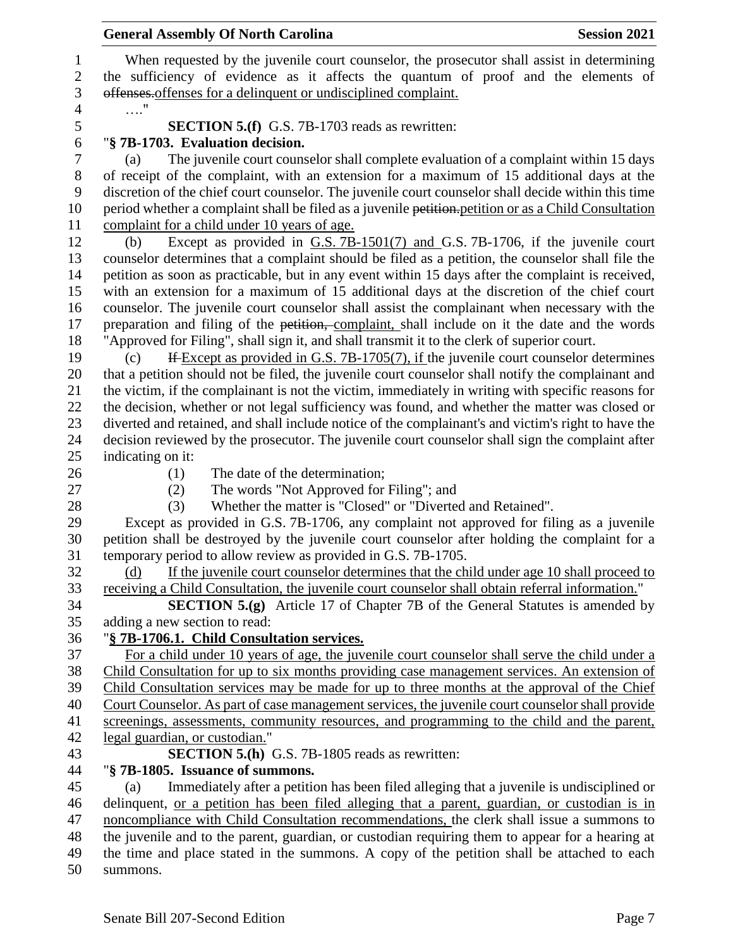| <b>General Assembly Of North Carolina</b><br><b>Session 2021</b>                                                                                                                         |
|------------------------------------------------------------------------------------------------------------------------------------------------------------------------------------------|
| When requested by the juvenile court counselor, the prosecutor shall assist in determining                                                                                               |
| the sufficiency of evidence as it affects the quantum of proof and the elements of                                                                                                       |
| offenses offenses for a delinquent or undisciplined complaint.                                                                                                                           |
| $\ldots$ "                                                                                                                                                                               |
| <b>SECTION 5.(f)</b> G.S. 7B-1703 reads as rewritten:                                                                                                                                    |
| "§ 7B-1703. Evaluation decision.                                                                                                                                                         |
| The juvenile court counselor shall complete evaluation of a complaint within 15 days<br>(a)                                                                                              |
| of receipt of the complaint, with an extension for a maximum of 15 additional days at the                                                                                                |
| discretion of the chief court counselor. The juvenile court counselor shall decide within this time                                                                                      |
| period whether a complaint shall be filed as a juvenile petition. petition or as a Child Consultation                                                                                    |
| complaint for a child under 10 years of age.                                                                                                                                             |
| Except as provided in G.S. 7B-1501(7) and G.S. 7B-1706, if the juvenile court<br>(b)                                                                                                     |
| counselor determines that a complaint should be filed as a petition, the counselor shall file the                                                                                        |
| petition as soon as practicable, but in any event within 15 days after the complaint is received,                                                                                        |
| with an extension for a maximum of 15 additional days at the discretion of the chief court                                                                                               |
| counselor. The juvenile court counselor shall assist the complainant when necessary with the                                                                                             |
| preparation and filing of the petition, complaint, shall include on it the date and the words                                                                                            |
| "Approved for Filing", shall sign it, and shall transmit it to the clerk of superior court.                                                                                              |
| If Except as provided in G.S. 7B-1705(7), if the juvenile court counselor determines<br>(c)                                                                                              |
| that a petition should not be filed, the juvenile court counselor shall notify the complainant and                                                                                       |
| the victim, if the complainant is not the victim, immediately in writing with specific reasons for                                                                                       |
| the decision, whether or not legal sufficiency was found, and whether the matter was closed or                                                                                           |
| diverted and retained, and shall include notice of the complainant's and victim's right to have the                                                                                      |
| decision reviewed by the prosecutor. The juvenile court counselor shall sign the complaint after                                                                                         |
| indicating on it:                                                                                                                                                                        |
| The date of the determination;<br>(1)                                                                                                                                                    |
| The words "Not Approved for Filing"; and<br>(2)                                                                                                                                          |
| Whether the matter is "Closed" or "Diverted and Retained".<br>(3)                                                                                                                        |
| Except as provided in G.S. 7B-1706, any complaint not approved for filing as a juvenile<br>petition shall be destroyed by the juvenile court counselor after holding the complaint for a |
| temporary period to allow review as provided in G.S. 7B-1705.                                                                                                                            |
| If the juvenile court counselor determines that the child under age 10 shall proceed to<br>(d)                                                                                           |
| receiving a Child Consultation, the juvenile court counselor shall obtain referral information."                                                                                         |
| <b>SECTION 5.(g)</b> Article 17 of Chapter 7B of the General Statutes is amended by                                                                                                      |
| adding a new section to read:                                                                                                                                                            |
| "§ 7B-1706.1. Child Consultation services.                                                                                                                                               |
| For a child under 10 years of age, the juvenile court counselor shall serve the child under a                                                                                            |
| Child Consultation for up to six months providing case management services. An extension of                                                                                              |
| Child Consultation services may be made for up to three months at the approval of the Chief                                                                                              |
| Court Counselor. As part of case management services, the juvenile court counselor shall provide                                                                                         |
| screenings, assessments, community resources, and programming to the child and the parent,                                                                                               |
| legal guardian, or custodian."                                                                                                                                                           |
| <b>SECTION 5.(h)</b> G.S. 7B-1805 reads as rewritten:                                                                                                                                    |
| "§ 7B-1805. Issuance of summons.                                                                                                                                                         |
| Immediately after a petition has been filed alleging that a juvenile is undisciplined or<br>(a)                                                                                          |
| delinquent, <u>or a petition</u> has been filed alleging that a parent, guardian, or custodian is in                                                                                     |
| noncompliance with Child Consultation recommendations, the clerk shall issue a summons to                                                                                                |
| the juvenile and to the parent, guardian, or custodian requiring them to appear for a hearing at                                                                                         |
| the time and place stated in the summons. A copy of the petition shall be attached to each                                                                                               |
| summons.                                                                                                                                                                                 |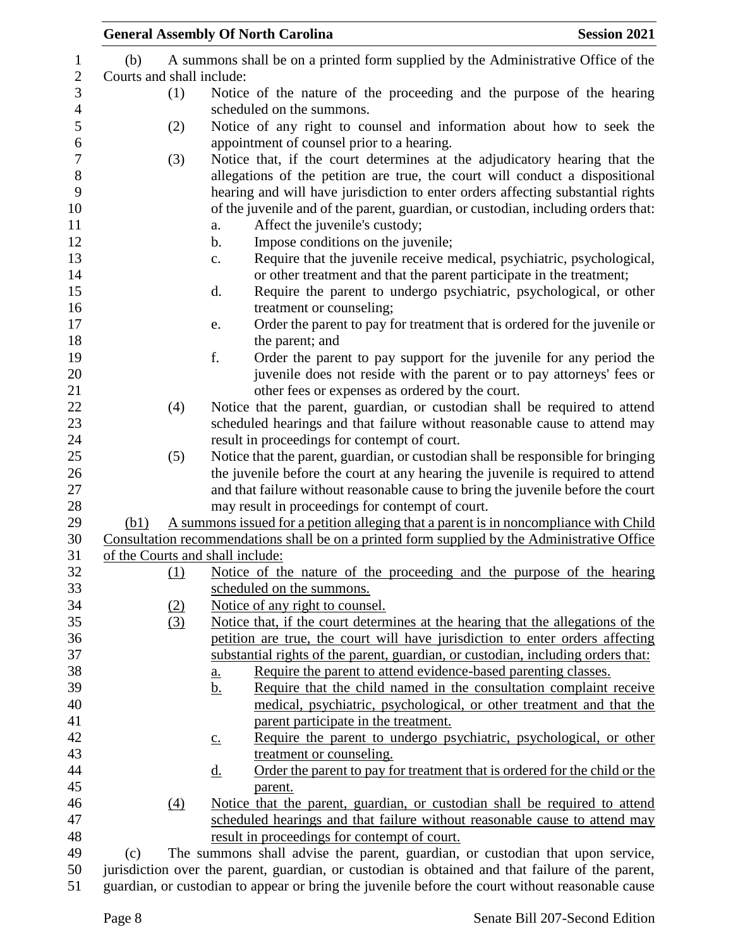|                           |            | <b>General Assembly Of North Carolina</b>                                                                                                                                                                                                                                                    | <b>Session 2021</b> |
|---------------------------|------------|----------------------------------------------------------------------------------------------------------------------------------------------------------------------------------------------------------------------------------------------------------------------------------------------|---------------------|
| (b)                       |            | A summons shall be on a printed form supplied by the Administrative Office of the                                                                                                                                                                                                            |                     |
| Courts and shall include: |            |                                                                                                                                                                                                                                                                                              |                     |
|                           | (1)        | Notice of the nature of the proceeding and the purpose of the hearing                                                                                                                                                                                                                        |                     |
|                           |            | scheduled on the summons.                                                                                                                                                                                                                                                                    |                     |
|                           | (2)        | Notice of any right to counsel and information about how to seek the<br>appointment of counsel prior to a hearing.                                                                                                                                                                           |                     |
|                           | (3)        | Notice that, if the court determines at the adjudicatory hearing that the                                                                                                                                                                                                                    |                     |
|                           |            | allegations of the petition are true, the court will conduct a dispositional<br>hearing and will have jurisdiction to enter orders affecting substantial rights<br>of the juvenile and of the parent, guardian, or custodian, including orders that:<br>Affect the juvenile's custody;<br>a. |                     |
|                           |            | Impose conditions on the juvenile;<br>$\mathbf b$ .                                                                                                                                                                                                                                          |                     |
|                           |            | Require that the juvenile receive medical, psychiatric, psychological,<br>$\mathbf{C}$ .<br>or other treatment and that the parent participate in the treatment;                                                                                                                             |                     |
|                           |            | Require the parent to undergo psychiatric, psychological, or other<br>d.<br>treatment or counseling;                                                                                                                                                                                         |                     |
|                           |            | Order the parent to pay for treatment that is ordered for the juvenile or<br>e.<br>the parent; and                                                                                                                                                                                           |                     |
|                           |            | f.<br>Order the parent to pay support for the juvenile for any period the                                                                                                                                                                                                                    |                     |
|                           |            | juvenile does not reside with the parent or to pay attorneys' fees or<br>other fees or expenses as ordered by the court.                                                                                                                                                                     |                     |
|                           | (4)        | Notice that the parent, guardian, or custodian shall be required to attend                                                                                                                                                                                                                   |                     |
|                           |            | scheduled hearings and that failure without reasonable cause to attend may                                                                                                                                                                                                                   |                     |
|                           |            | result in proceedings for contempt of court.                                                                                                                                                                                                                                                 |                     |
|                           | (5)        | Notice that the parent, guardian, or custodian shall be responsible for bringing                                                                                                                                                                                                             |                     |
|                           |            | the juvenile before the court at any hearing the juvenile is required to attend<br>and that failure without reasonable cause to bring the juvenile before the court                                                                                                                          |                     |
|                           |            | may result in proceedings for contempt of court.                                                                                                                                                                                                                                             |                     |
| (b1)                      |            | A summons issued for a petition alleging that a parent is in noncompliance with Child                                                                                                                                                                                                        |                     |
|                           |            | Consultation recommendations shall be on a printed form supplied by the Administrative Office                                                                                                                                                                                                |                     |
|                           |            | of the Courts and shall include:                                                                                                                                                                                                                                                             |                     |
|                           | <u>(1)</u> | Notice of the nature of the proceeding and the purpose of the hearing                                                                                                                                                                                                                        |                     |
|                           |            | scheduled on the summons.                                                                                                                                                                                                                                                                    |                     |
|                           | (2)        | Notice of any right to counsel.                                                                                                                                                                                                                                                              |                     |
|                           | (3)        | Notice that, if the court determines at the hearing that the allegations of the                                                                                                                                                                                                              |                     |
|                           |            | petition are true, the court will have jurisdiction to enter orders affecting<br>substantial rights of the parent, guardian, or custodian, including orders that:                                                                                                                            |                     |
|                           |            | Require the parent to attend evidence-based parenting classes.                                                                                                                                                                                                                               |                     |
|                           |            | <u>a.</u><br>Require that the child named in the consultation complaint receive<br><u>b.</u>                                                                                                                                                                                                 |                     |
|                           |            | medical, psychiatric, psychological, or other treatment and that the                                                                                                                                                                                                                         |                     |
|                           |            | parent participate in the treatment.                                                                                                                                                                                                                                                         |                     |
|                           |            | Require the parent to undergo psychiatric, psychological, or other<br>$\underline{c}$ .                                                                                                                                                                                                      |                     |
|                           |            | treatment or counseling.                                                                                                                                                                                                                                                                     |                     |
|                           |            | Order the parent to pay for treatment that is ordered for the child or the<br><u>d.</u>                                                                                                                                                                                                      |                     |
|                           |            | parent.                                                                                                                                                                                                                                                                                      |                     |
|                           | (4)        | Notice that the parent, guardian, or custodian shall be required to attend                                                                                                                                                                                                                   |                     |
|                           |            | scheduled hearings and that failure without reasonable cause to attend may                                                                                                                                                                                                                   |                     |
|                           |            | result in proceedings for contempt of court.                                                                                                                                                                                                                                                 |                     |
| (c)                       |            | The summons shall advise the parent, guardian, or custodian that upon service,                                                                                                                                                                                                               |                     |
|                           |            | jurisdiction over the parent, guardian, or custodian is obtained and that failure of the parent,                                                                                                                                                                                             |                     |
|                           |            | guardian, or custodian to appear or bring the juvenile before the court without reasonable cause                                                                                                                                                                                             |                     |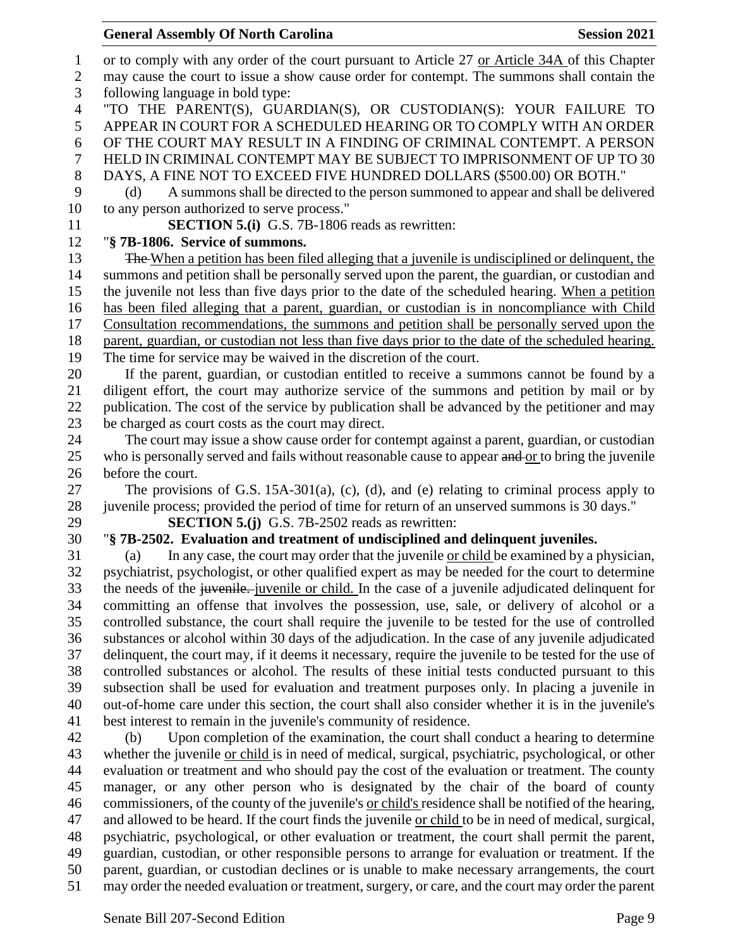#### **General Assembly Of North Carolina Session 2021**

 or to comply with any order of the court pursuant to Article 27 or Article 34A of this Chapter may cause the court to issue a show cause order for contempt. The summons shall contain the following language in bold type: "TO THE PARENT(S), GUARDIAN(S), OR CUSTODIAN(S): YOUR FAILURE TO APPEAR IN COURT FOR A SCHEDULED HEARING OR TO COMPLY WITH AN ORDER OF THE COURT MAY RESULT IN A FINDING OF CRIMINAL CONTEMPT. A PERSON HELD IN CRIMINAL CONTEMPT MAY BE SUBJECT TO IMPRISONMENT OF UP TO 30 DAYS, A FINE NOT TO EXCEED FIVE HUNDRED DOLLARS (\$500.00) OR BOTH." (d) A summons shall be directed to the person summoned to appear and shall be delivered to any person authorized to serve process." **SECTION 5.(i)** G.S. 7B-1806 reads as rewritten: "**§ 7B-1806. Service of summons.** 13 The When a petition has been filed alleging that a juvenile is undisciplined or delinquent, the summons and petition shall be personally served upon the parent, the guardian, or custodian and the juvenile not less than five days prior to the date of the scheduled hearing. When a petition has been filed alleging that a parent, guardian, or custodian is in noncompliance with Child Consultation recommendations, the summons and petition shall be personally served upon the parent, guardian, or custodian not less than five days prior to the date of the scheduled hearing. The time for service may be waived in the discretion of the court. If the parent, guardian, or custodian entitled to receive a summons cannot be found by a diligent effort, the court may authorize service of the summons and petition by mail or by publication. The cost of the service by publication shall be advanced by the petitioner and may be charged as court costs as the court may direct. The court may issue a show cause order for contempt against a parent, guardian, or custodian 25 who is personally served and fails without reasonable cause to appear and or to bring the juvenile before the court. The provisions of G.S. 15A-301(a), (c), (d), and (e) relating to criminal process apply to juvenile process; provided the period of time for return of an unserved summons is 30 days." **SECTION 5.(j)** G.S. 7B-2502 reads as rewritten: "**§ 7B-2502. Evaluation and treatment of undisciplined and delinquent juveniles.** (a) In any case, the court may order that the juvenile or child be examined by a physician, psychiatrist, psychologist, or other qualified expert as may be needed for the court to determine 33 the needs of the juvenile. juvenile or child. In the case of a juvenile adjudicated delinquent for committing an offense that involves the possession, use, sale, or delivery of alcohol or a controlled substance, the court shall require the juvenile to be tested for the use of controlled substances or alcohol within 30 days of the adjudication. In the case of any juvenile adjudicated delinquent, the court may, if it deems it necessary, require the juvenile to be tested for the use of controlled substances or alcohol. The results of these initial tests conducted pursuant to this subsection shall be used for evaluation and treatment purposes only. In placing a juvenile in out-of-home care under this section, the court shall also consider whether it is in the juvenile's best interest to remain in the juvenile's community of residence. (b) Upon completion of the examination, the court shall conduct a hearing to determine whether the juvenile or child is in need of medical, surgical, psychiatric, psychological, or other evaluation or treatment and who should pay the cost of the evaluation or treatment. The county manager, or any other person who is designated by the chair of the board of county commissioners, of the county of the juvenile's or child's residence shall be notified of the hearing, and allowed to be heard. If the court finds the juvenile or child to be in need of medical, surgical, psychiatric, psychological, or other evaluation or treatment, the court shall permit the parent, guardian, custodian, or other responsible persons to arrange for evaluation or treatment. If the parent, guardian, or custodian declines or is unable to make necessary arrangements, the court may order the needed evaluation or treatment, surgery, or care, and the court may order the parent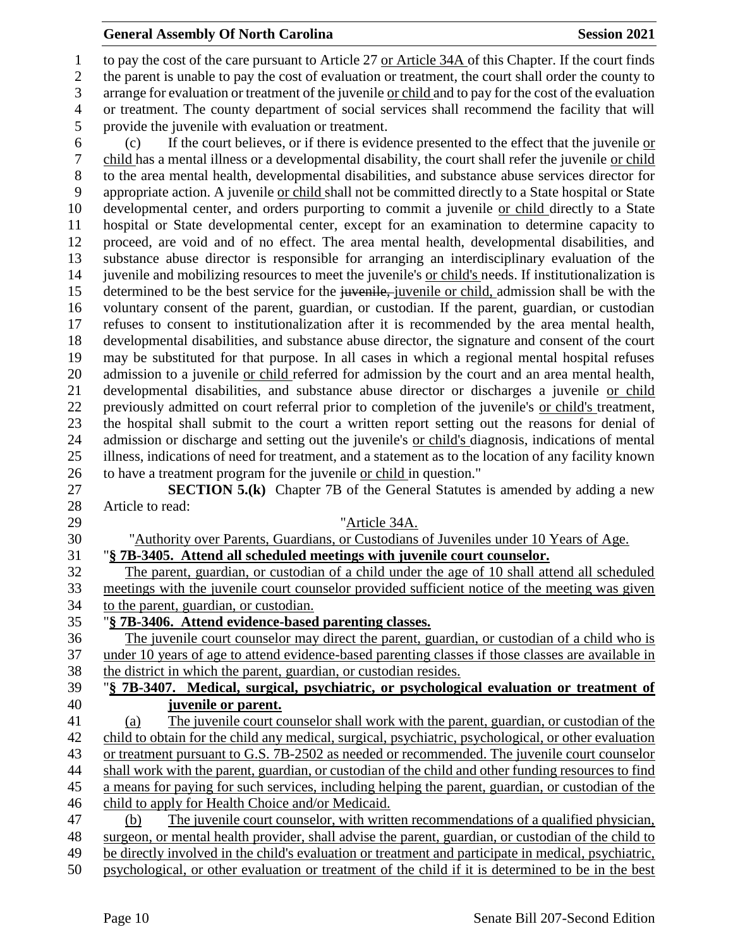to pay the cost of the care pursuant to Article 27 or Article 34A of this Chapter. If the court finds the parent is unable to pay the cost of evaluation or treatment, the court shall order the county to arrange for evaluation or treatment of the juvenile or child and to pay for the cost of the evaluation or treatment. The county department of social services shall recommend the facility that will provide the juvenile with evaluation or treatment.

 (c) If the court believes, or if there is evidence presented to the effect that the juvenile or child has a mental illness or a developmental disability, the court shall refer the juvenile or child to the area mental health, developmental disabilities, and substance abuse services director for appropriate action. A juvenile or child shall not be committed directly to a State hospital or State developmental center, and orders purporting to commit a juvenile or child directly to a State hospital or State developmental center, except for an examination to determine capacity to proceed, are void and of no effect. The area mental health, developmental disabilities, and substance abuse director is responsible for arranging an interdisciplinary evaluation of the juvenile and mobilizing resources to meet the juvenile's or child's needs. If institutionalization is 15 determined to be the best service for the juvenile, juvenile or child, admission shall be with the voluntary consent of the parent, guardian, or custodian. If the parent, guardian, or custodian refuses to consent to institutionalization after it is recommended by the area mental health, developmental disabilities, and substance abuse director, the signature and consent of the court may be substituted for that purpose. In all cases in which a regional mental hospital refuses admission to a juvenile or child referred for admission by the court and an area mental health, developmental disabilities, and substance abuse director or discharges a juvenile or child previously admitted on court referral prior to completion of the juvenile's or child's treatment, the hospital shall submit to the court a written report setting out the reasons for denial of admission or discharge and setting out the juvenile's or child's diagnosis, indications of mental illness, indications of need for treatment, and a statement as to the location of any facility known to have a treatment program for the juvenile or child in question."

 **SECTION 5.(k)** Chapter 7B of the General Statutes is amended by adding a new Article to read:

 "Article 34A. "Authority over Parents, Guardians, or Custodians of Juveniles under 10 Years of Age. "**§ 7B-3405. Attend all scheduled meetings with juvenile court counselor.** The parent, guardian, or custodian of a child under the age of 10 shall attend all scheduled meetings with the juvenile court counselor provided sufficient notice of the meeting was given to the parent, guardian, or custodian. "**§ 7B-3406. Attend evidence-based parenting classes.** The juvenile court counselor may direct the parent, guardian, or custodian of a child who is under 10 years of age to attend evidence-based parenting classes if those classes are available in the district in which the parent, guardian, or custodian resides. "**§ 7B-3407. Medical, surgical, psychiatric, or psychological evaluation or treatment of juvenile or parent.** (a) The juvenile court counselor shall work with the parent, guardian, or custodian of the 42 child to obtain for the child any medical, surgical, psychiatric, psychological, or other evaluation or treatment pursuant to G.S. 7B-2502 as needed or recommended. The juvenile court counselor shall work with the parent, guardian, or custodian of the child and other funding resources to find a means for paying for such services, including helping the parent, guardian, or custodian of the child to apply for Health Choice and/or Medicaid. (b) The juvenile court counselor, with written recommendations of a qualified physician, surgeon, or mental health provider, shall advise the parent, guardian, or custodian of the child to be directly involved in the child's evaluation or treatment and participate in medical, psychiatric, psychological, or other evaluation or treatment of the child if it is determined to be in the best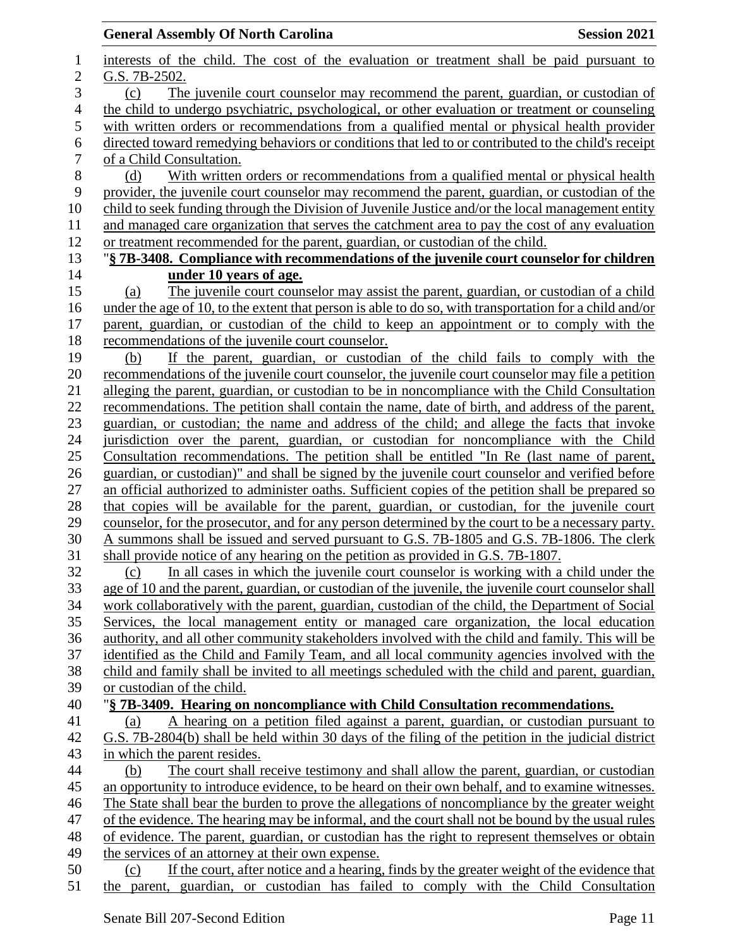| interests of the child. The cost of the evaluation or treatment shall be paid pursuant to<br>1<br>$\overline{c}$<br>G.S. 7B-2502.<br>3<br>The juvenile court counselor may recommend the parent, guardian, or custodian of<br>(c)<br>$\overline{4}$<br>the child to undergo psychiatric, psychological, or other evaluation or treatment or counseling<br>5<br>6<br>$\boldsymbol{7}$<br>of a Child Consultation.<br>$8\,$<br>(d)<br>9<br>10<br>11<br>12<br>or treatment recommended for the parent, guardian, or custodian of the child.<br>13<br>14<br>under 10 years of age.<br>15<br>The juvenile court counselor may assist the parent, guardian, or custodian of a child<br>(a)<br>under the age of 10, to the extent that person is able to do so, with transportation for a child and/or<br>16<br>17<br>parent, guardian, or custodian of the child to keep an appointment or to comply with the<br>18<br>recommendations of the juvenile court counselor.<br>19<br>If the parent, guardian, or custodian of the child fails to comply with the<br>(b)<br>20<br>recommendations of the juvenile court counselor, the juvenile court counselor may file a petition<br>alleging the parent, guardian, or custodian to be in noncompliance with the Child Consultation<br>21<br>22<br>recommendations. The petition shall contain the name, date of birth, and address of the parent,<br>23<br>guardian, or custodian; the name and address of the child; and allege the facts that invoke<br>24<br>jurisdiction over the parent, guardian, or custodian for noncompliance with the Child<br>25<br>Consultation recommendations. The petition shall be entitled "In Re (last name of parent,<br>26<br>guardian, or custodian)" and shall be signed by the juvenile court counselor and verified before<br>27<br>an official authorized to administer oaths. Sufficient copies of the petition shall be prepared so<br>28<br>that copies will be available for the parent, guardian, or custodian, for the juvenile court<br>29<br>counselor, for the prosecutor, and for any person determined by the court to be a necessary party.<br>30<br>A summons shall be issued and served pursuant to G.S. 7B-1805 and G.S. 7B-1806. The clerk<br>shall provide notice of any hearing on the petition as provided in G.S. 7B-1807.<br>31<br>32<br>(c)<br>33<br>34<br>35<br>36<br>37<br>identified as the Child and Family Team, and all local community agencies involved with the<br>38<br>child and family shall be invited to all meetings scheduled with the child and parent, guardian,<br>39<br>or custodian of the child.<br>40<br>"§ 7B-3409. Hearing on noncompliance with Child Consultation recommendations.<br>A hearing on a petition filed against a parent, guardian, or custodian pursuant to<br>41<br>(a)<br>G.S. 7B-2804(b) shall be held within 30 days of the filing of the petition in the judicial district<br>42<br>43<br>in which the parent resides.<br>44<br>(b)<br>The court shall receive testimony and shall allow the parent, guardian, or custodian<br>an opportunity to introduce evidence, to be heard on their own behalf, and to examine witnesses.<br>45<br>46<br>The State shall bear the burden to prove the allegations of noncompliance by the greater weight<br>of the evidence. The hearing may be informal, and the court shall not be bound by the usual rules<br>47 | <b>General Assembly Of North Carolina</b><br><b>Session 2021</b>                                     |
|---------------------------------------------------------------------------------------------------------------------------------------------------------------------------------------------------------------------------------------------------------------------------------------------------------------------------------------------------------------------------------------------------------------------------------------------------------------------------------------------------------------------------------------------------------------------------------------------------------------------------------------------------------------------------------------------------------------------------------------------------------------------------------------------------------------------------------------------------------------------------------------------------------------------------------------------------------------------------------------------------------------------------------------------------------------------------------------------------------------------------------------------------------------------------------------------------------------------------------------------------------------------------------------------------------------------------------------------------------------------------------------------------------------------------------------------------------------------------------------------------------------------------------------------------------------------------------------------------------------------------------------------------------------------------------------------------------------------------------------------------------------------------------------------------------------------------------------------------------------------------------------------------------------------------------------------------------------------------------------------------------------------------------------------------------------------------------------------------------------------------------------------------------------------------------------------------------------------------------------------------------------------------------------------------------------------------------------------------------------------------------------------------------------------------------------------------------------------------------------------------------------------------------------------------------------------------------------------------------------------------------------------------------------------------------------------------------------------------------------------------------------------------------------------------------------------------------------------------------------------------------------------------------------------------------------------------------------------------------------------------------------------------------------------------------------------------------------------------------------------------------------------------------------------------------------------------------------------------------------------------------------------------------------------------------------------------------------------------------------------------------------------------------------|------------------------------------------------------------------------------------------------------|
|                                                                                                                                                                                                                                                                                                                                                                                                                                                                                                                                                                                                                                                                                                                                                                                                                                                                                                                                                                                                                                                                                                                                                                                                                                                                                                                                                                                                                                                                                                                                                                                                                                                                                                                                                                                                                                                                                                                                                                                                                                                                                                                                                                                                                                                                                                                                                                                                                                                                                                                                                                                                                                                                                                                                                                                                                                                                                                                                                                                                                                                                                                                                                                                                                                                                                                                                                                                                               |                                                                                                      |
|                                                                                                                                                                                                                                                                                                                                                                                                                                                                                                                                                                                                                                                                                                                                                                                                                                                                                                                                                                                                                                                                                                                                                                                                                                                                                                                                                                                                                                                                                                                                                                                                                                                                                                                                                                                                                                                                                                                                                                                                                                                                                                                                                                                                                                                                                                                                                                                                                                                                                                                                                                                                                                                                                                                                                                                                                                                                                                                                                                                                                                                                                                                                                                                                                                                                                                                                                                                                               |                                                                                                      |
|                                                                                                                                                                                                                                                                                                                                                                                                                                                                                                                                                                                                                                                                                                                                                                                                                                                                                                                                                                                                                                                                                                                                                                                                                                                                                                                                                                                                                                                                                                                                                                                                                                                                                                                                                                                                                                                                                                                                                                                                                                                                                                                                                                                                                                                                                                                                                                                                                                                                                                                                                                                                                                                                                                                                                                                                                                                                                                                                                                                                                                                                                                                                                                                                                                                                                                                                                                                                               |                                                                                                      |
|                                                                                                                                                                                                                                                                                                                                                                                                                                                                                                                                                                                                                                                                                                                                                                                                                                                                                                                                                                                                                                                                                                                                                                                                                                                                                                                                                                                                                                                                                                                                                                                                                                                                                                                                                                                                                                                                                                                                                                                                                                                                                                                                                                                                                                                                                                                                                                                                                                                                                                                                                                                                                                                                                                                                                                                                                                                                                                                                                                                                                                                                                                                                                                                                                                                                                                                                                                                                               |                                                                                                      |
|                                                                                                                                                                                                                                                                                                                                                                                                                                                                                                                                                                                                                                                                                                                                                                                                                                                                                                                                                                                                                                                                                                                                                                                                                                                                                                                                                                                                                                                                                                                                                                                                                                                                                                                                                                                                                                                                                                                                                                                                                                                                                                                                                                                                                                                                                                                                                                                                                                                                                                                                                                                                                                                                                                                                                                                                                                                                                                                                                                                                                                                                                                                                                                                                                                                                                                                                                                                                               | with written orders or recommendations from a qualified mental or physical health provider           |
|                                                                                                                                                                                                                                                                                                                                                                                                                                                                                                                                                                                                                                                                                                                                                                                                                                                                                                                                                                                                                                                                                                                                                                                                                                                                                                                                                                                                                                                                                                                                                                                                                                                                                                                                                                                                                                                                                                                                                                                                                                                                                                                                                                                                                                                                                                                                                                                                                                                                                                                                                                                                                                                                                                                                                                                                                                                                                                                                                                                                                                                                                                                                                                                                                                                                                                                                                                                                               | directed toward remedying behaviors or conditions that led to or contributed to the child's receipt  |
|                                                                                                                                                                                                                                                                                                                                                                                                                                                                                                                                                                                                                                                                                                                                                                                                                                                                                                                                                                                                                                                                                                                                                                                                                                                                                                                                                                                                                                                                                                                                                                                                                                                                                                                                                                                                                                                                                                                                                                                                                                                                                                                                                                                                                                                                                                                                                                                                                                                                                                                                                                                                                                                                                                                                                                                                                                                                                                                                                                                                                                                                                                                                                                                                                                                                                                                                                                                                               |                                                                                                      |
|                                                                                                                                                                                                                                                                                                                                                                                                                                                                                                                                                                                                                                                                                                                                                                                                                                                                                                                                                                                                                                                                                                                                                                                                                                                                                                                                                                                                                                                                                                                                                                                                                                                                                                                                                                                                                                                                                                                                                                                                                                                                                                                                                                                                                                                                                                                                                                                                                                                                                                                                                                                                                                                                                                                                                                                                                                                                                                                                                                                                                                                                                                                                                                                                                                                                                                                                                                                                               | With written orders or recommendations from a qualified mental or physical health                    |
|                                                                                                                                                                                                                                                                                                                                                                                                                                                                                                                                                                                                                                                                                                                                                                                                                                                                                                                                                                                                                                                                                                                                                                                                                                                                                                                                                                                                                                                                                                                                                                                                                                                                                                                                                                                                                                                                                                                                                                                                                                                                                                                                                                                                                                                                                                                                                                                                                                                                                                                                                                                                                                                                                                                                                                                                                                                                                                                                                                                                                                                                                                                                                                                                                                                                                                                                                                                                               | provider, the juvenile court counselor may recommend the parent, guardian, or custodian of the       |
|                                                                                                                                                                                                                                                                                                                                                                                                                                                                                                                                                                                                                                                                                                                                                                                                                                                                                                                                                                                                                                                                                                                                                                                                                                                                                                                                                                                                                                                                                                                                                                                                                                                                                                                                                                                                                                                                                                                                                                                                                                                                                                                                                                                                                                                                                                                                                                                                                                                                                                                                                                                                                                                                                                                                                                                                                                                                                                                                                                                                                                                                                                                                                                                                                                                                                                                                                                                                               | child to seek funding through the Division of Juvenile Justice and/or the local management entity    |
|                                                                                                                                                                                                                                                                                                                                                                                                                                                                                                                                                                                                                                                                                                                                                                                                                                                                                                                                                                                                                                                                                                                                                                                                                                                                                                                                                                                                                                                                                                                                                                                                                                                                                                                                                                                                                                                                                                                                                                                                                                                                                                                                                                                                                                                                                                                                                                                                                                                                                                                                                                                                                                                                                                                                                                                                                                                                                                                                                                                                                                                                                                                                                                                                                                                                                                                                                                                                               | and managed care organization that serves the catchment area to pay the cost of any evaluation       |
|                                                                                                                                                                                                                                                                                                                                                                                                                                                                                                                                                                                                                                                                                                                                                                                                                                                                                                                                                                                                                                                                                                                                                                                                                                                                                                                                                                                                                                                                                                                                                                                                                                                                                                                                                                                                                                                                                                                                                                                                                                                                                                                                                                                                                                                                                                                                                                                                                                                                                                                                                                                                                                                                                                                                                                                                                                                                                                                                                                                                                                                                                                                                                                                                                                                                                                                                                                                                               |                                                                                                      |
|                                                                                                                                                                                                                                                                                                                                                                                                                                                                                                                                                                                                                                                                                                                                                                                                                                                                                                                                                                                                                                                                                                                                                                                                                                                                                                                                                                                                                                                                                                                                                                                                                                                                                                                                                                                                                                                                                                                                                                                                                                                                                                                                                                                                                                                                                                                                                                                                                                                                                                                                                                                                                                                                                                                                                                                                                                                                                                                                                                                                                                                                                                                                                                                                                                                                                                                                                                                                               | "§ 7B-3408. Compliance with recommendations of the juvenile court counselor for children             |
|                                                                                                                                                                                                                                                                                                                                                                                                                                                                                                                                                                                                                                                                                                                                                                                                                                                                                                                                                                                                                                                                                                                                                                                                                                                                                                                                                                                                                                                                                                                                                                                                                                                                                                                                                                                                                                                                                                                                                                                                                                                                                                                                                                                                                                                                                                                                                                                                                                                                                                                                                                                                                                                                                                                                                                                                                                                                                                                                                                                                                                                                                                                                                                                                                                                                                                                                                                                                               |                                                                                                      |
|                                                                                                                                                                                                                                                                                                                                                                                                                                                                                                                                                                                                                                                                                                                                                                                                                                                                                                                                                                                                                                                                                                                                                                                                                                                                                                                                                                                                                                                                                                                                                                                                                                                                                                                                                                                                                                                                                                                                                                                                                                                                                                                                                                                                                                                                                                                                                                                                                                                                                                                                                                                                                                                                                                                                                                                                                                                                                                                                                                                                                                                                                                                                                                                                                                                                                                                                                                                                               |                                                                                                      |
|                                                                                                                                                                                                                                                                                                                                                                                                                                                                                                                                                                                                                                                                                                                                                                                                                                                                                                                                                                                                                                                                                                                                                                                                                                                                                                                                                                                                                                                                                                                                                                                                                                                                                                                                                                                                                                                                                                                                                                                                                                                                                                                                                                                                                                                                                                                                                                                                                                                                                                                                                                                                                                                                                                                                                                                                                                                                                                                                                                                                                                                                                                                                                                                                                                                                                                                                                                                                               |                                                                                                      |
|                                                                                                                                                                                                                                                                                                                                                                                                                                                                                                                                                                                                                                                                                                                                                                                                                                                                                                                                                                                                                                                                                                                                                                                                                                                                                                                                                                                                                                                                                                                                                                                                                                                                                                                                                                                                                                                                                                                                                                                                                                                                                                                                                                                                                                                                                                                                                                                                                                                                                                                                                                                                                                                                                                                                                                                                                                                                                                                                                                                                                                                                                                                                                                                                                                                                                                                                                                                                               |                                                                                                      |
|                                                                                                                                                                                                                                                                                                                                                                                                                                                                                                                                                                                                                                                                                                                                                                                                                                                                                                                                                                                                                                                                                                                                                                                                                                                                                                                                                                                                                                                                                                                                                                                                                                                                                                                                                                                                                                                                                                                                                                                                                                                                                                                                                                                                                                                                                                                                                                                                                                                                                                                                                                                                                                                                                                                                                                                                                                                                                                                                                                                                                                                                                                                                                                                                                                                                                                                                                                                                               |                                                                                                      |
|                                                                                                                                                                                                                                                                                                                                                                                                                                                                                                                                                                                                                                                                                                                                                                                                                                                                                                                                                                                                                                                                                                                                                                                                                                                                                                                                                                                                                                                                                                                                                                                                                                                                                                                                                                                                                                                                                                                                                                                                                                                                                                                                                                                                                                                                                                                                                                                                                                                                                                                                                                                                                                                                                                                                                                                                                                                                                                                                                                                                                                                                                                                                                                                                                                                                                                                                                                                                               |                                                                                                      |
|                                                                                                                                                                                                                                                                                                                                                                                                                                                                                                                                                                                                                                                                                                                                                                                                                                                                                                                                                                                                                                                                                                                                                                                                                                                                                                                                                                                                                                                                                                                                                                                                                                                                                                                                                                                                                                                                                                                                                                                                                                                                                                                                                                                                                                                                                                                                                                                                                                                                                                                                                                                                                                                                                                                                                                                                                                                                                                                                                                                                                                                                                                                                                                                                                                                                                                                                                                                                               |                                                                                                      |
|                                                                                                                                                                                                                                                                                                                                                                                                                                                                                                                                                                                                                                                                                                                                                                                                                                                                                                                                                                                                                                                                                                                                                                                                                                                                                                                                                                                                                                                                                                                                                                                                                                                                                                                                                                                                                                                                                                                                                                                                                                                                                                                                                                                                                                                                                                                                                                                                                                                                                                                                                                                                                                                                                                                                                                                                                                                                                                                                                                                                                                                                                                                                                                                                                                                                                                                                                                                                               |                                                                                                      |
|                                                                                                                                                                                                                                                                                                                                                                                                                                                                                                                                                                                                                                                                                                                                                                                                                                                                                                                                                                                                                                                                                                                                                                                                                                                                                                                                                                                                                                                                                                                                                                                                                                                                                                                                                                                                                                                                                                                                                                                                                                                                                                                                                                                                                                                                                                                                                                                                                                                                                                                                                                                                                                                                                                                                                                                                                                                                                                                                                                                                                                                                                                                                                                                                                                                                                                                                                                                                               |                                                                                                      |
|                                                                                                                                                                                                                                                                                                                                                                                                                                                                                                                                                                                                                                                                                                                                                                                                                                                                                                                                                                                                                                                                                                                                                                                                                                                                                                                                                                                                                                                                                                                                                                                                                                                                                                                                                                                                                                                                                                                                                                                                                                                                                                                                                                                                                                                                                                                                                                                                                                                                                                                                                                                                                                                                                                                                                                                                                                                                                                                                                                                                                                                                                                                                                                                                                                                                                                                                                                                                               |                                                                                                      |
|                                                                                                                                                                                                                                                                                                                                                                                                                                                                                                                                                                                                                                                                                                                                                                                                                                                                                                                                                                                                                                                                                                                                                                                                                                                                                                                                                                                                                                                                                                                                                                                                                                                                                                                                                                                                                                                                                                                                                                                                                                                                                                                                                                                                                                                                                                                                                                                                                                                                                                                                                                                                                                                                                                                                                                                                                                                                                                                                                                                                                                                                                                                                                                                                                                                                                                                                                                                                               |                                                                                                      |
|                                                                                                                                                                                                                                                                                                                                                                                                                                                                                                                                                                                                                                                                                                                                                                                                                                                                                                                                                                                                                                                                                                                                                                                                                                                                                                                                                                                                                                                                                                                                                                                                                                                                                                                                                                                                                                                                                                                                                                                                                                                                                                                                                                                                                                                                                                                                                                                                                                                                                                                                                                                                                                                                                                                                                                                                                                                                                                                                                                                                                                                                                                                                                                                                                                                                                                                                                                                                               |                                                                                                      |
|                                                                                                                                                                                                                                                                                                                                                                                                                                                                                                                                                                                                                                                                                                                                                                                                                                                                                                                                                                                                                                                                                                                                                                                                                                                                                                                                                                                                                                                                                                                                                                                                                                                                                                                                                                                                                                                                                                                                                                                                                                                                                                                                                                                                                                                                                                                                                                                                                                                                                                                                                                                                                                                                                                                                                                                                                                                                                                                                                                                                                                                                                                                                                                                                                                                                                                                                                                                                               |                                                                                                      |
|                                                                                                                                                                                                                                                                                                                                                                                                                                                                                                                                                                                                                                                                                                                                                                                                                                                                                                                                                                                                                                                                                                                                                                                                                                                                                                                                                                                                                                                                                                                                                                                                                                                                                                                                                                                                                                                                                                                                                                                                                                                                                                                                                                                                                                                                                                                                                                                                                                                                                                                                                                                                                                                                                                                                                                                                                                                                                                                                                                                                                                                                                                                                                                                                                                                                                                                                                                                                               |                                                                                                      |
|                                                                                                                                                                                                                                                                                                                                                                                                                                                                                                                                                                                                                                                                                                                                                                                                                                                                                                                                                                                                                                                                                                                                                                                                                                                                                                                                                                                                                                                                                                                                                                                                                                                                                                                                                                                                                                                                                                                                                                                                                                                                                                                                                                                                                                                                                                                                                                                                                                                                                                                                                                                                                                                                                                                                                                                                                                                                                                                                                                                                                                                                                                                                                                                                                                                                                                                                                                                                               |                                                                                                      |
|                                                                                                                                                                                                                                                                                                                                                                                                                                                                                                                                                                                                                                                                                                                                                                                                                                                                                                                                                                                                                                                                                                                                                                                                                                                                                                                                                                                                                                                                                                                                                                                                                                                                                                                                                                                                                                                                                                                                                                                                                                                                                                                                                                                                                                                                                                                                                                                                                                                                                                                                                                                                                                                                                                                                                                                                                                                                                                                                                                                                                                                                                                                                                                                                                                                                                                                                                                                                               |                                                                                                      |
|                                                                                                                                                                                                                                                                                                                                                                                                                                                                                                                                                                                                                                                                                                                                                                                                                                                                                                                                                                                                                                                                                                                                                                                                                                                                                                                                                                                                                                                                                                                                                                                                                                                                                                                                                                                                                                                                                                                                                                                                                                                                                                                                                                                                                                                                                                                                                                                                                                                                                                                                                                                                                                                                                                                                                                                                                                                                                                                                                                                                                                                                                                                                                                                                                                                                                                                                                                                                               |                                                                                                      |
|                                                                                                                                                                                                                                                                                                                                                                                                                                                                                                                                                                                                                                                                                                                                                                                                                                                                                                                                                                                                                                                                                                                                                                                                                                                                                                                                                                                                                                                                                                                                                                                                                                                                                                                                                                                                                                                                                                                                                                                                                                                                                                                                                                                                                                                                                                                                                                                                                                                                                                                                                                                                                                                                                                                                                                                                                                                                                                                                                                                                                                                                                                                                                                                                                                                                                                                                                                                                               | In all cases in which the juvenile court counselor is working with a child under the                 |
|                                                                                                                                                                                                                                                                                                                                                                                                                                                                                                                                                                                                                                                                                                                                                                                                                                                                                                                                                                                                                                                                                                                                                                                                                                                                                                                                                                                                                                                                                                                                                                                                                                                                                                                                                                                                                                                                                                                                                                                                                                                                                                                                                                                                                                                                                                                                                                                                                                                                                                                                                                                                                                                                                                                                                                                                                                                                                                                                                                                                                                                                                                                                                                                                                                                                                                                                                                                                               | age of 10 and the parent, guardian, or custodian of the juvenile, the juvenile court counselor shall |
|                                                                                                                                                                                                                                                                                                                                                                                                                                                                                                                                                                                                                                                                                                                                                                                                                                                                                                                                                                                                                                                                                                                                                                                                                                                                                                                                                                                                                                                                                                                                                                                                                                                                                                                                                                                                                                                                                                                                                                                                                                                                                                                                                                                                                                                                                                                                                                                                                                                                                                                                                                                                                                                                                                                                                                                                                                                                                                                                                                                                                                                                                                                                                                                                                                                                                                                                                                                                               | work collaboratively with the parent, guardian, custodian of the child, the Department of Social     |
|                                                                                                                                                                                                                                                                                                                                                                                                                                                                                                                                                                                                                                                                                                                                                                                                                                                                                                                                                                                                                                                                                                                                                                                                                                                                                                                                                                                                                                                                                                                                                                                                                                                                                                                                                                                                                                                                                                                                                                                                                                                                                                                                                                                                                                                                                                                                                                                                                                                                                                                                                                                                                                                                                                                                                                                                                                                                                                                                                                                                                                                                                                                                                                                                                                                                                                                                                                                                               | Services, the local management entity or managed care organization, the local education              |
|                                                                                                                                                                                                                                                                                                                                                                                                                                                                                                                                                                                                                                                                                                                                                                                                                                                                                                                                                                                                                                                                                                                                                                                                                                                                                                                                                                                                                                                                                                                                                                                                                                                                                                                                                                                                                                                                                                                                                                                                                                                                                                                                                                                                                                                                                                                                                                                                                                                                                                                                                                                                                                                                                                                                                                                                                                                                                                                                                                                                                                                                                                                                                                                                                                                                                                                                                                                                               | authority, and all other community stakeholders involved with the child and family. This will be     |
|                                                                                                                                                                                                                                                                                                                                                                                                                                                                                                                                                                                                                                                                                                                                                                                                                                                                                                                                                                                                                                                                                                                                                                                                                                                                                                                                                                                                                                                                                                                                                                                                                                                                                                                                                                                                                                                                                                                                                                                                                                                                                                                                                                                                                                                                                                                                                                                                                                                                                                                                                                                                                                                                                                                                                                                                                                                                                                                                                                                                                                                                                                                                                                                                                                                                                                                                                                                                               |                                                                                                      |
|                                                                                                                                                                                                                                                                                                                                                                                                                                                                                                                                                                                                                                                                                                                                                                                                                                                                                                                                                                                                                                                                                                                                                                                                                                                                                                                                                                                                                                                                                                                                                                                                                                                                                                                                                                                                                                                                                                                                                                                                                                                                                                                                                                                                                                                                                                                                                                                                                                                                                                                                                                                                                                                                                                                                                                                                                                                                                                                                                                                                                                                                                                                                                                                                                                                                                                                                                                                                               |                                                                                                      |
|                                                                                                                                                                                                                                                                                                                                                                                                                                                                                                                                                                                                                                                                                                                                                                                                                                                                                                                                                                                                                                                                                                                                                                                                                                                                                                                                                                                                                                                                                                                                                                                                                                                                                                                                                                                                                                                                                                                                                                                                                                                                                                                                                                                                                                                                                                                                                                                                                                                                                                                                                                                                                                                                                                                                                                                                                                                                                                                                                                                                                                                                                                                                                                                                                                                                                                                                                                                                               |                                                                                                      |
|                                                                                                                                                                                                                                                                                                                                                                                                                                                                                                                                                                                                                                                                                                                                                                                                                                                                                                                                                                                                                                                                                                                                                                                                                                                                                                                                                                                                                                                                                                                                                                                                                                                                                                                                                                                                                                                                                                                                                                                                                                                                                                                                                                                                                                                                                                                                                                                                                                                                                                                                                                                                                                                                                                                                                                                                                                                                                                                                                                                                                                                                                                                                                                                                                                                                                                                                                                                                               |                                                                                                      |
|                                                                                                                                                                                                                                                                                                                                                                                                                                                                                                                                                                                                                                                                                                                                                                                                                                                                                                                                                                                                                                                                                                                                                                                                                                                                                                                                                                                                                                                                                                                                                                                                                                                                                                                                                                                                                                                                                                                                                                                                                                                                                                                                                                                                                                                                                                                                                                                                                                                                                                                                                                                                                                                                                                                                                                                                                                                                                                                                                                                                                                                                                                                                                                                                                                                                                                                                                                                                               |                                                                                                      |
|                                                                                                                                                                                                                                                                                                                                                                                                                                                                                                                                                                                                                                                                                                                                                                                                                                                                                                                                                                                                                                                                                                                                                                                                                                                                                                                                                                                                                                                                                                                                                                                                                                                                                                                                                                                                                                                                                                                                                                                                                                                                                                                                                                                                                                                                                                                                                                                                                                                                                                                                                                                                                                                                                                                                                                                                                                                                                                                                                                                                                                                                                                                                                                                                                                                                                                                                                                                                               |                                                                                                      |
|                                                                                                                                                                                                                                                                                                                                                                                                                                                                                                                                                                                                                                                                                                                                                                                                                                                                                                                                                                                                                                                                                                                                                                                                                                                                                                                                                                                                                                                                                                                                                                                                                                                                                                                                                                                                                                                                                                                                                                                                                                                                                                                                                                                                                                                                                                                                                                                                                                                                                                                                                                                                                                                                                                                                                                                                                                                                                                                                                                                                                                                                                                                                                                                                                                                                                                                                                                                                               |                                                                                                      |
|                                                                                                                                                                                                                                                                                                                                                                                                                                                                                                                                                                                                                                                                                                                                                                                                                                                                                                                                                                                                                                                                                                                                                                                                                                                                                                                                                                                                                                                                                                                                                                                                                                                                                                                                                                                                                                                                                                                                                                                                                                                                                                                                                                                                                                                                                                                                                                                                                                                                                                                                                                                                                                                                                                                                                                                                                                                                                                                                                                                                                                                                                                                                                                                                                                                                                                                                                                                                               |                                                                                                      |
|                                                                                                                                                                                                                                                                                                                                                                                                                                                                                                                                                                                                                                                                                                                                                                                                                                                                                                                                                                                                                                                                                                                                                                                                                                                                                                                                                                                                                                                                                                                                                                                                                                                                                                                                                                                                                                                                                                                                                                                                                                                                                                                                                                                                                                                                                                                                                                                                                                                                                                                                                                                                                                                                                                                                                                                                                                                                                                                                                                                                                                                                                                                                                                                                                                                                                                                                                                                                               |                                                                                                      |
|                                                                                                                                                                                                                                                                                                                                                                                                                                                                                                                                                                                                                                                                                                                                                                                                                                                                                                                                                                                                                                                                                                                                                                                                                                                                                                                                                                                                                                                                                                                                                                                                                                                                                                                                                                                                                                                                                                                                                                                                                                                                                                                                                                                                                                                                                                                                                                                                                                                                                                                                                                                                                                                                                                                                                                                                                                                                                                                                                                                                                                                                                                                                                                                                                                                                                                                                                                                                               |                                                                                                      |
| 48                                                                                                                                                                                                                                                                                                                                                                                                                                                                                                                                                                                                                                                                                                                                                                                                                                                                                                                                                                                                                                                                                                                                                                                                                                                                                                                                                                                                                                                                                                                                                                                                                                                                                                                                                                                                                                                                                                                                                                                                                                                                                                                                                                                                                                                                                                                                                                                                                                                                                                                                                                                                                                                                                                                                                                                                                                                                                                                                                                                                                                                                                                                                                                                                                                                                                                                                                                                                            |                                                                                                      |
| 49<br>the services of an attorney at their own expense.                                                                                                                                                                                                                                                                                                                                                                                                                                                                                                                                                                                                                                                                                                                                                                                                                                                                                                                                                                                                                                                                                                                                                                                                                                                                                                                                                                                                                                                                                                                                                                                                                                                                                                                                                                                                                                                                                                                                                                                                                                                                                                                                                                                                                                                                                                                                                                                                                                                                                                                                                                                                                                                                                                                                                                                                                                                                                                                                                                                                                                                                                                                                                                                                                                                                                                                                                       | of evidence. The parent, guardian, or custodian has the right to represent themselves or obtain      |
| 50<br>(c)                                                                                                                                                                                                                                                                                                                                                                                                                                                                                                                                                                                                                                                                                                                                                                                                                                                                                                                                                                                                                                                                                                                                                                                                                                                                                                                                                                                                                                                                                                                                                                                                                                                                                                                                                                                                                                                                                                                                                                                                                                                                                                                                                                                                                                                                                                                                                                                                                                                                                                                                                                                                                                                                                                                                                                                                                                                                                                                                                                                                                                                                                                                                                                                                                                                                                                                                                                                                     | If the court, after notice and a hearing, finds by the greater weight of the evidence that           |
| 51                                                                                                                                                                                                                                                                                                                                                                                                                                                                                                                                                                                                                                                                                                                                                                                                                                                                                                                                                                                                                                                                                                                                                                                                                                                                                                                                                                                                                                                                                                                                                                                                                                                                                                                                                                                                                                                                                                                                                                                                                                                                                                                                                                                                                                                                                                                                                                                                                                                                                                                                                                                                                                                                                                                                                                                                                                                                                                                                                                                                                                                                                                                                                                                                                                                                                                                                                                                                            | the parent, guardian, or custodian has failed to comply with the Child Consultation                  |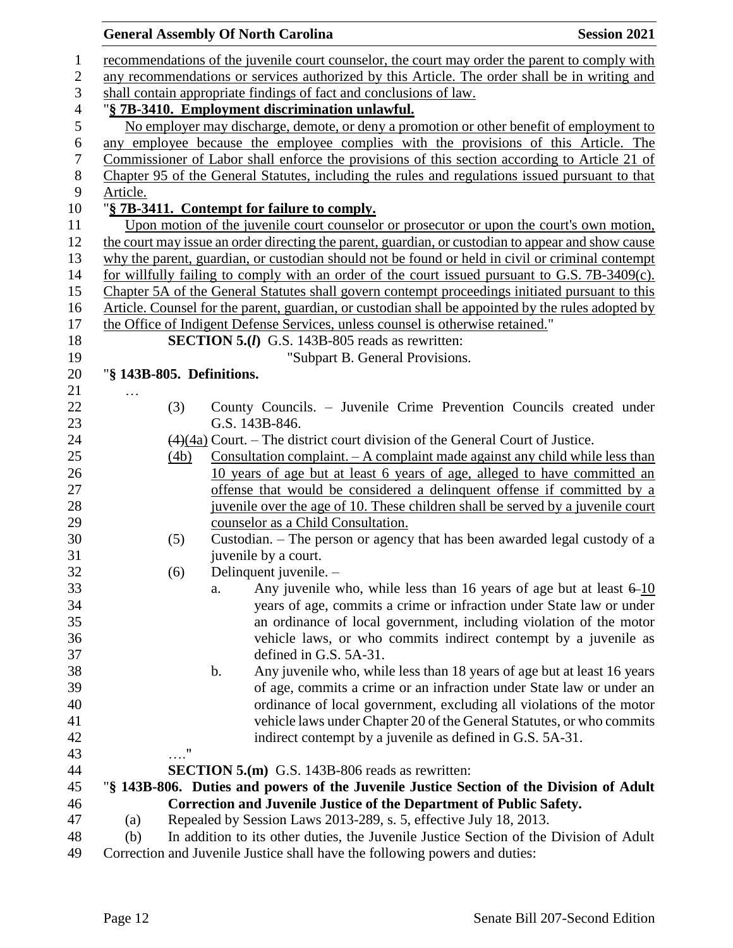|                           |            |                | <b>General Assembly Of North Carolina</b>                                       |                                 | <b>Session 2021</b>                                                                                                                           |
|---------------------------|------------|----------------|---------------------------------------------------------------------------------|---------------------------------|-----------------------------------------------------------------------------------------------------------------------------------------------|
|                           |            |                |                                                                                 |                                 | recommendations of the juvenile court counselor, the court may order the parent to comply with                                                |
|                           |            |                |                                                                                 |                                 | any recommendations or services authorized by this Article. The order shall be in writing and                                                 |
|                           |            |                | shall contain appropriate findings of fact and conclusions of law.              |                                 |                                                                                                                                               |
|                           |            |                | "§ 7B-3410. Employment discrimination unlawful.                                 |                                 |                                                                                                                                               |
|                           |            |                |                                                                                 |                                 | No employer may discharge, demote, or deny a promotion or other benefit of employment to                                                      |
|                           |            |                |                                                                                 |                                 | any employee because the employee complies with the provisions of this Article. The                                                           |
|                           |            |                |                                                                                 |                                 | Commissioner of Labor shall enforce the provisions of this section according to Article 21 of                                                 |
|                           |            |                |                                                                                 |                                 | Chapter 95 of the General Statutes, including the rules and regulations issued pursuant to that                                               |
| Article.                  |            |                |                                                                                 |                                 |                                                                                                                                               |
|                           |            |                | "§ 7B-3411. Contempt for failure to comply.                                     |                                 |                                                                                                                                               |
|                           |            |                |                                                                                 |                                 | Upon motion of the juvenile court counselor or prosecutor or upon the court's own motion,                                                     |
|                           |            |                |                                                                                 |                                 | the court may issue an order directing the parent, guardian, or custodian to appear and show cause                                            |
|                           |            |                |                                                                                 |                                 | why the parent, guardian, or custodian should not be found or held in civil or criminal contempt                                              |
|                           |            |                |                                                                                 |                                 | for willfully failing to comply with an order of the court issued pursuant to G.S. 7B-3409(c).                                                |
|                           |            |                |                                                                                 |                                 | Chapter 5A of the General Statutes shall govern contempt proceedings initiated pursuant to this                                               |
|                           |            |                |                                                                                 |                                 | Article. Counsel for the parent, guardian, or custodian shall be appointed by the rules adopted by                                            |
|                           |            |                | the Office of Indigent Defense Services, unless counsel is otherwise retained." |                                 |                                                                                                                                               |
|                           |            |                | <b>SECTION 5.(I)</b> G.S. 143B-805 reads as rewritten:                          |                                 |                                                                                                                                               |
|                           |            |                |                                                                                 | "Subpart B. General Provisions. |                                                                                                                                               |
| "§ 143B-805. Definitions. |            |                |                                                                                 |                                 |                                                                                                                                               |
|                           |            |                |                                                                                 |                                 |                                                                                                                                               |
|                           | (3)        |                |                                                                                 |                                 | County Councils. – Juvenile Crime Prevention Councils created under                                                                           |
|                           |            | G.S. 143B-846. |                                                                                 |                                 |                                                                                                                                               |
|                           |            |                |                                                                                 |                                 | $\left(\frac{4}{4a}\right)$ Court. – The district court division of the General Court of Justice.                                             |
|                           | (4b)       |                |                                                                                 |                                 | Consultation complaint. $- A$ complaint made against any child while less than                                                                |
|                           |            |                |                                                                                 |                                 | 10 years of age but at least 6 years of age, alleged to have committed an                                                                     |
|                           |            |                |                                                                                 |                                 | offense that would be considered a delinquent offense if committed by a                                                                       |
|                           |            |                |                                                                                 |                                 | juvenile over the age of 10. These children shall be served by a juvenile court                                                               |
|                           |            |                | counselor as a Child Consultation.                                              |                                 |                                                                                                                                               |
|                           | (5)        |                |                                                                                 |                                 | Custodian. – The person or agency that has been awarded legal custody of a                                                                    |
|                           |            |                | juvenile by a court.                                                            |                                 |                                                                                                                                               |
|                           | (6)        |                | Delinquent juvenile. -                                                          |                                 |                                                                                                                                               |
|                           |            | a.             |                                                                                 |                                 | Any juvenile who, while less than 16 years of age but at least $6-10$<br>years of age, commits a crime or infraction under State law or under |
|                           |            |                |                                                                                 |                                 | an ordinance of local government, including violation of the motor                                                                            |
|                           |            |                |                                                                                 |                                 | vehicle laws, or who commits indirect contempt by a juvenile as                                                                               |
|                           |            |                | defined in G.S. 5A-31.                                                          |                                 |                                                                                                                                               |
|                           |            | $\mathbf b$ .  |                                                                                 |                                 | Any juvenile who, while less than 18 years of age but at least 16 years                                                                       |
|                           |            |                |                                                                                 |                                 | of age, commits a crime or an infraction under State law or under an                                                                          |
|                           |            |                |                                                                                 |                                 | ordinance of local government, excluding all violations of the motor                                                                          |
|                           |            |                |                                                                                 |                                 | vehicle laws under Chapter 20 of the General Statutes, or who commits                                                                         |
|                           |            |                | indirect contempt by a juvenile as defined in G.S. 5A-31.                       |                                 |                                                                                                                                               |
|                           | $\ldots$ " |                |                                                                                 |                                 |                                                                                                                                               |
|                           |            |                | <b>SECTION 5.(m)</b> G.S. 143B-806 reads as rewritten:                          |                                 |                                                                                                                                               |
|                           |            |                |                                                                                 |                                 | "§ 143B-806. Duties and powers of the Juvenile Justice Section of the Division of Adult                                                       |
|                           |            |                | Correction and Juvenile Justice of the Department of Public Safety.             |                                 |                                                                                                                                               |
| (a)                       |            |                | Repealed by Session Laws 2013-289, s. 5, effective July 18, 2013.               |                                 |                                                                                                                                               |
| (b)                       |            |                |                                                                                 |                                 | In addition to its other duties, the Juvenile Justice Section of the Division of Adult                                                        |
|                           |            |                |                                                                                 |                                 |                                                                                                                                               |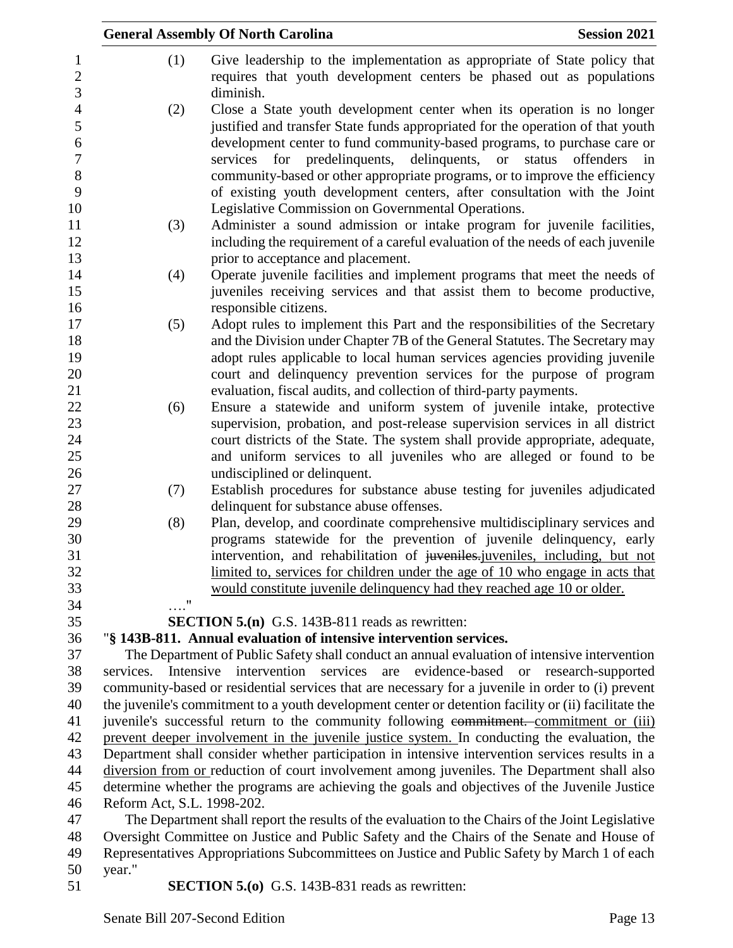|                     |                                                                                                                             | <b>General Assembly Of North Carolina</b>                                                                                                                  | <b>Session 2021</b>                    |  |  |
|---------------------|-----------------------------------------------------------------------------------------------------------------------------|------------------------------------------------------------------------------------------------------------------------------------------------------------|----------------------------------------|--|--|
| 1                   | (1)                                                                                                                         | Give leadership to the implementation as appropriate of State policy that                                                                                  |                                        |  |  |
| $\overline{c}$      |                                                                                                                             | requires that youth development centers be phased out as populations                                                                                       |                                        |  |  |
| 3                   |                                                                                                                             | diminish.                                                                                                                                                  |                                        |  |  |
| $\overline{4}$<br>5 | (2)                                                                                                                         | Close a State youth development center when its operation is no longer                                                                                     |                                        |  |  |
|                     |                                                                                                                             | justified and transfer State funds appropriated for the operation of that youth                                                                            |                                        |  |  |
|                     |                                                                                                                             | development center to fund community-based programs, to purchase care or                                                                                   |                                        |  |  |
|                     |                                                                                                                             | services for predelinguents,<br>delinquents,                                                                                                               | status<br>offenders<br><b>or</b><br>in |  |  |
|                     |                                                                                                                             | community-based or other appropriate programs, or to improve the efficiency                                                                                |                                        |  |  |
|                     |                                                                                                                             | of existing youth development centers, after consultation with the Joint                                                                                   |                                        |  |  |
|                     |                                                                                                                             | Legislative Commission on Governmental Operations.                                                                                                         |                                        |  |  |
|                     | (3)                                                                                                                         | Administer a sound admission or intake program for juvenile facilities,<br>including the requirement of a careful evaluation of the needs of each juvenile |                                        |  |  |
|                     |                                                                                                                             | prior to acceptance and placement.                                                                                                                         |                                        |  |  |
|                     | (4)                                                                                                                         | Operate juvenile facilities and implement programs that meet the needs of                                                                                  |                                        |  |  |
|                     |                                                                                                                             | juveniles receiving services and that assist them to become productive,                                                                                    |                                        |  |  |
|                     |                                                                                                                             | responsible citizens.                                                                                                                                      |                                        |  |  |
|                     | (5)                                                                                                                         | Adopt rules to implement this Part and the responsibilities of the Secretary                                                                               |                                        |  |  |
|                     |                                                                                                                             | and the Division under Chapter 7B of the General Statutes. The Secretary may                                                                               |                                        |  |  |
|                     |                                                                                                                             | adopt rules applicable to local human services agencies providing juvenile                                                                                 |                                        |  |  |
|                     |                                                                                                                             | court and delinquency prevention services for the purpose of program                                                                                       |                                        |  |  |
|                     |                                                                                                                             | evaluation, fiscal audits, and collection of third-party payments.                                                                                         |                                        |  |  |
|                     | (6)                                                                                                                         | Ensure a statewide and uniform system of juvenile intake, protective                                                                                       |                                        |  |  |
|                     |                                                                                                                             | supervision, probation, and post-release supervision services in all district                                                                              |                                        |  |  |
|                     |                                                                                                                             | court districts of the State. The system shall provide appropriate, adequate,                                                                              |                                        |  |  |
|                     |                                                                                                                             | and uniform services to all juveniles who are alleged or found to be                                                                                       |                                        |  |  |
|                     |                                                                                                                             | undisciplined or delinquent.                                                                                                                               |                                        |  |  |
|                     | (7)                                                                                                                         | Establish procedures for substance abuse testing for juveniles adjudicated                                                                                 |                                        |  |  |
|                     |                                                                                                                             | delinquent for substance abuse offenses.                                                                                                                   |                                        |  |  |
|                     | (8)                                                                                                                         | Plan, develop, and coordinate comprehensive multidisciplinary services and<br>programs statewide for the prevention of juvenile delinquency, early         |                                        |  |  |
|                     |                                                                                                                             | intervention, and rehabilitation of juveniles-juveniles, including, but not                                                                                |                                        |  |  |
|                     |                                                                                                                             | limited to, services for children under the age of 10 who engage in acts that                                                                              |                                        |  |  |
|                     |                                                                                                                             | would constitute juvenile delinquency had they reached age 10 or older.                                                                                    |                                        |  |  |
|                     | "                                                                                                                           |                                                                                                                                                            |                                        |  |  |
|                     |                                                                                                                             | <b>SECTION 5.(n)</b> G.S. 143B-811 reads as rewritten:                                                                                                     |                                        |  |  |
|                     |                                                                                                                             | "§ 143B-811. Annual evaluation of intensive intervention services.                                                                                         |                                        |  |  |
|                     |                                                                                                                             | The Department of Public Safety shall conduct an annual evaluation of intensive intervention                                                               |                                        |  |  |
|                     | services.<br>Intensive                                                                                                      | intervention services<br>evidence-based<br>are                                                                                                             | or research-supported                  |  |  |
|                     |                                                                                                                             | community-based or residential services that are necessary for a juvenile in order to (i) prevent                                                          |                                        |  |  |
|                     |                                                                                                                             | the juvenile's commitment to a youth development center or detention facility or (ii) facilitate the                                                       |                                        |  |  |
|                     |                                                                                                                             | juvenile's successful return to the community following commitment. commitment or (iii)                                                                    |                                        |  |  |
|                     |                                                                                                                             | prevent deeper involvement in the juvenile justice system. In conducting the evaluation, the                                                               |                                        |  |  |
|                     |                                                                                                                             | Department shall consider whether participation in intensive intervention services results in a                                                            |                                        |  |  |
|                     |                                                                                                                             | diversion from or reduction of court involvement among juveniles. The Department shall also                                                                |                                        |  |  |
|                     | determine whether the programs are achieving the goals and objectives of the Juvenile Justice<br>Reform Act, S.L. 1998-202. |                                                                                                                                                            |                                        |  |  |
|                     |                                                                                                                             | The Department shall report the results of the evaluation to the Chairs of the Joint Legislative                                                           |                                        |  |  |
|                     |                                                                                                                             | Oversight Committee on Justice and Public Safety and the Chairs of the Senate and House of                                                                 |                                        |  |  |
|                     |                                                                                                                             | Representatives Appropriations Subcommittees on Justice and Public Safety by March 1 of each                                                               |                                        |  |  |
|                     | year."                                                                                                                      |                                                                                                                                                            |                                        |  |  |
|                     |                                                                                                                             | <b>SECTION 5.0</b> G.S. 143B-831 reads as rewritten:                                                                                                       |                                        |  |  |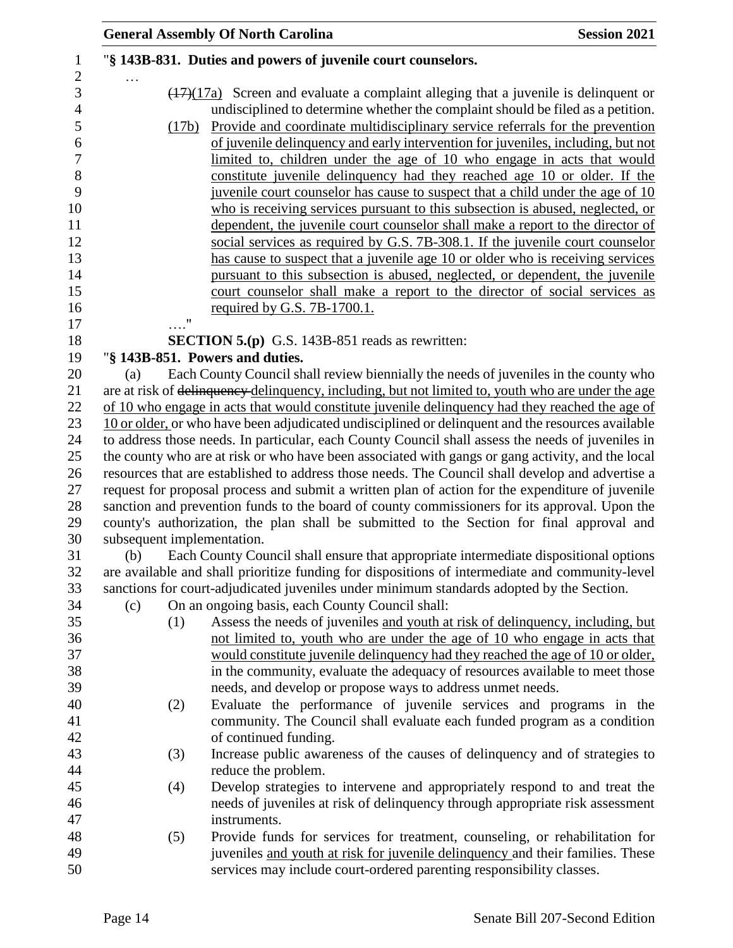|     |                             | <b>General Assembly Of North Carolina</b>                                                                                                                                                                                                                                                                                                                                                                                                                                                                                                                                                                                                                                                                                                                                                                                                                                                                                                                                                                                                                                                                                                  | <b>Session 2021</b> |
|-----|-----------------------------|--------------------------------------------------------------------------------------------------------------------------------------------------------------------------------------------------------------------------------------------------------------------------------------------------------------------------------------------------------------------------------------------------------------------------------------------------------------------------------------------------------------------------------------------------------------------------------------------------------------------------------------------------------------------------------------------------------------------------------------------------------------------------------------------------------------------------------------------------------------------------------------------------------------------------------------------------------------------------------------------------------------------------------------------------------------------------------------------------------------------------------------------|---------------------|
|     |                             | "§ 143B-831. Duties and powers of juvenile court counselors.                                                                                                                                                                                                                                                                                                                                                                                                                                                                                                                                                                                                                                                                                                                                                                                                                                                                                                                                                                                                                                                                               |                     |
|     | (17b)<br>$\pmb{\mathsf{H}}$ | $\frac{(17)(17a)}{(17)(17a)}$ Screen and evaluate a complaint alleging that a juvenile is delinquent or<br>undisciplined to determine whether the complaint should be filed as a petition.<br>Provide and coordinate multidisciplinary service referrals for the prevention<br>of juvenile delinquency and early intervention for juveniles, including, but not<br>limited to, children under the age of 10 who engage in acts that would<br>constitute juvenile delinquency had they reached age 10 or older. If the<br>juvenile court counselor has cause to suspect that a child under the age of 10<br>who is receiving services pursuant to this subsection is abused, neglected, or<br>dependent, the juvenile court counselor shall make a report to the director of<br>social services as required by G.S. 7B-308.1. If the juvenile court counselor<br>has cause to suspect that a juvenile age 10 or older who is receiving services<br>pursuant to this subsection is abused, neglected, or dependent, the juvenile<br>court counselor shall make a report to the director of social services as<br>required by G.S. 7B-1700.1. |                     |
|     |                             | <b>SECTION 5.(p)</b> G.S. 143B-851 reads as rewritten:                                                                                                                                                                                                                                                                                                                                                                                                                                                                                                                                                                                                                                                                                                                                                                                                                                                                                                                                                                                                                                                                                     |                     |
|     |                             | "§ 143B-851. Powers and duties.                                                                                                                                                                                                                                                                                                                                                                                                                                                                                                                                                                                                                                                                                                                                                                                                                                                                                                                                                                                                                                                                                                            |                     |
| (a) |                             | Each County Council shall review biennially the needs of juveniles in the county who                                                                                                                                                                                                                                                                                                                                                                                                                                                                                                                                                                                                                                                                                                                                                                                                                                                                                                                                                                                                                                                       |                     |
|     |                             | are at risk of delinquency delinquency, including, but not limited to, youth who are under the age                                                                                                                                                                                                                                                                                                                                                                                                                                                                                                                                                                                                                                                                                                                                                                                                                                                                                                                                                                                                                                         |                     |
|     |                             | of 10 who engage in acts that would constitute juvenile delinquency had they reached the age of                                                                                                                                                                                                                                                                                                                                                                                                                                                                                                                                                                                                                                                                                                                                                                                                                                                                                                                                                                                                                                            |                     |
|     |                             | 10 or older, or who have been adjudicated undisciplined or delinquent and the resources available                                                                                                                                                                                                                                                                                                                                                                                                                                                                                                                                                                                                                                                                                                                                                                                                                                                                                                                                                                                                                                          |                     |
|     |                             | to address those needs. In particular, each County Council shall assess the needs of juveniles in                                                                                                                                                                                                                                                                                                                                                                                                                                                                                                                                                                                                                                                                                                                                                                                                                                                                                                                                                                                                                                          |                     |
|     |                             | the county who are at risk or who have been associated with gangs or gang activity, and the local                                                                                                                                                                                                                                                                                                                                                                                                                                                                                                                                                                                                                                                                                                                                                                                                                                                                                                                                                                                                                                          |                     |
|     |                             | resources that are established to address those needs. The Council shall develop and advertise a                                                                                                                                                                                                                                                                                                                                                                                                                                                                                                                                                                                                                                                                                                                                                                                                                                                                                                                                                                                                                                           |                     |
|     |                             | request for proposal process and submit a written plan of action for the expenditure of juvenile                                                                                                                                                                                                                                                                                                                                                                                                                                                                                                                                                                                                                                                                                                                                                                                                                                                                                                                                                                                                                                           |                     |
|     |                             | sanction and prevention funds to the board of county commissioners for its approval. Upon the                                                                                                                                                                                                                                                                                                                                                                                                                                                                                                                                                                                                                                                                                                                                                                                                                                                                                                                                                                                                                                              |                     |
|     |                             | county's authorization, the plan shall be submitted to the Section for final approval and                                                                                                                                                                                                                                                                                                                                                                                                                                                                                                                                                                                                                                                                                                                                                                                                                                                                                                                                                                                                                                                  |                     |
| (b) |                             | subsequent implementation.<br>Each County Council shall ensure that appropriate intermediate dispositional options                                                                                                                                                                                                                                                                                                                                                                                                                                                                                                                                                                                                                                                                                                                                                                                                                                                                                                                                                                                                                         |                     |
|     |                             | are available and shall prioritize funding for dispositions of intermediate and community-level                                                                                                                                                                                                                                                                                                                                                                                                                                                                                                                                                                                                                                                                                                                                                                                                                                                                                                                                                                                                                                            |                     |
|     |                             | sanctions for court-adjudicated juveniles under minimum standards adopted by the Section.                                                                                                                                                                                                                                                                                                                                                                                                                                                                                                                                                                                                                                                                                                                                                                                                                                                                                                                                                                                                                                                  |                     |
| (c) |                             | On an ongoing basis, each County Council shall:                                                                                                                                                                                                                                                                                                                                                                                                                                                                                                                                                                                                                                                                                                                                                                                                                                                                                                                                                                                                                                                                                            |                     |
|     | (1)                         | Assess the needs of juveniles and youth at risk of delinquency, including, but                                                                                                                                                                                                                                                                                                                                                                                                                                                                                                                                                                                                                                                                                                                                                                                                                                                                                                                                                                                                                                                             |                     |
|     |                             | not limited to, youth who are under the age of 10 who engage in acts that                                                                                                                                                                                                                                                                                                                                                                                                                                                                                                                                                                                                                                                                                                                                                                                                                                                                                                                                                                                                                                                                  |                     |
|     |                             | would constitute juvenile delinquency had they reached the age of 10 or older,                                                                                                                                                                                                                                                                                                                                                                                                                                                                                                                                                                                                                                                                                                                                                                                                                                                                                                                                                                                                                                                             |                     |
|     |                             | in the community, evaluate the adequacy of resources available to meet those                                                                                                                                                                                                                                                                                                                                                                                                                                                                                                                                                                                                                                                                                                                                                                                                                                                                                                                                                                                                                                                               |                     |
|     |                             | needs, and develop or propose ways to address unmet needs.                                                                                                                                                                                                                                                                                                                                                                                                                                                                                                                                                                                                                                                                                                                                                                                                                                                                                                                                                                                                                                                                                 |                     |
|     | (2)                         | Evaluate the performance of juvenile services and programs in the                                                                                                                                                                                                                                                                                                                                                                                                                                                                                                                                                                                                                                                                                                                                                                                                                                                                                                                                                                                                                                                                          |                     |
|     |                             | community. The Council shall evaluate each funded program as a condition                                                                                                                                                                                                                                                                                                                                                                                                                                                                                                                                                                                                                                                                                                                                                                                                                                                                                                                                                                                                                                                                   |                     |
|     |                             | of continued funding.                                                                                                                                                                                                                                                                                                                                                                                                                                                                                                                                                                                                                                                                                                                                                                                                                                                                                                                                                                                                                                                                                                                      |                     |
|     | (3)                         | Increase public awareness of the causes of delinquency and of strategies to                                                                                                                                                                                                                                                                                                                                                                                                                                                                                                                                                                                                                                                                                                                                                                                                                                                                                                                                                                                                                                                                |                     |
|     |                             | reduce the problem.                                                                                                                                                                                                                                                                                                                                                                                                                                                                                                                                                                                                                                                                                                                                                                                                                                                                                                                                                                                                                                                                                                                        |                     |
|     | (4)                         | Develop strategies to intervene and appropriately respond to and treat the                                                                                                                                                                                                                                                                                                                                                                                                                                                                                                                                                                                                                                                                                                                                                                                                                                                                                                                                                                                                                                                                 |                     |
|     |                             | needs of juveniles at risk of delinquency through appropriate risk assessment                                                                                                                                                                                                                                                                                                                                                                                                                                                                                                                                                                                                                                                                                                                                                                                                                                                                                                                                                                                                                                                              |                     |
|     |                             | instruments.                                                                                                                                                                                                                                                                                                                                                                                                                                                                                                                                                                                                                                                                                                                                                                                                                                                                                                                                                                                                                                                                                                                               |                     |
|     | (5)                         | Provide funds for services for treatment, counseling, or rehabilitation for                                                                                                                                                                                                                                                                                                                                                                                                                                                                                                                                                                                                                                                                                                                                                                                                                                                                                                                                                                                                                                                                |                     |
|     |                             | juveniles and youth at risk for juvenile delinquency and their families. These<br>services may include court-ordered parenting responsibility classes.                                                                                                                                                                                                                                                                                                                                                                                                                                                                                                                                                                                                                                                                                                                                                                                                                                                                                                                                                                                     |                     |